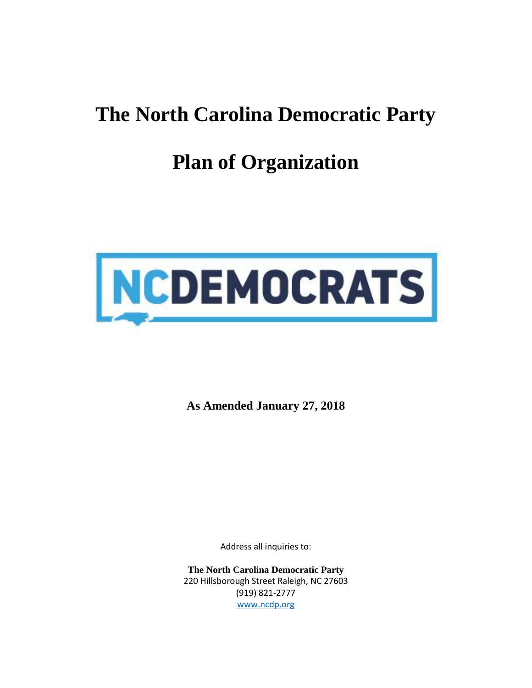## **The North Carolina Democratic Party**

# **Plan of Organization**



**As Amended January 27, 2018**

Address all inquiries to:

**The North Carolina Democratic Party** 220 Hillsborough Street Raleigh, NC 27603 (919) 821-2777 [www.ncdp.org](http://www.ncdp.org/)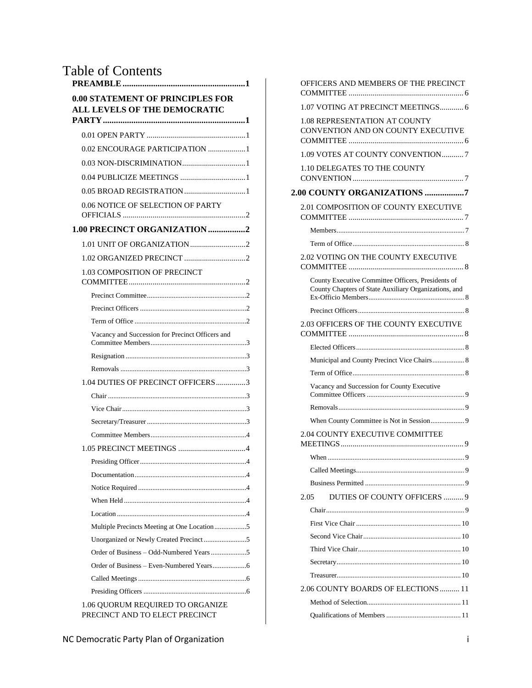## Table of Contents

| <b>0.00 STATEMENT OF PRINCIPLES FOR</b><br><b>ALL LEVELS OF THE DEMOCRATIC</b> |
|--------------------------------------------------------------------------------|
|                                                                                |
| 0.02 ENCOURAGE PARTICIPATION 1                                                 |
|                                                                                |
|                                                                                |
|                                                                                |
| 0.06 NOTICE OF SELECTION OF PARTY                                              |
|                                                                                |
| 1.00 PRECINCT ORGANIZATION2                                                    |
|                                                                                |
|                                                                                |
| 1.03 COMPOSITION OF PRECINCT                                                   |
|                                                                                |
|                                                                                |
|                                                                                |
| Vacancy and Succession for Precinct Officers and                               |
|                                                                                |
|                                                                                |
| 1.04 DUTIES OF PRECINCT OFFICERS3                                              |
|                                                                                |
|                                                                                |
|                                                                                |
|                                                                                |
|                                                                                |
|                                                                                |
|                                                                                |
|                                                                                |
|                                                                                |
|                                                                                |
| Multiple Precincts Meeting at One Location 5                                   |
|                                                                                |
|                                                                                |
|                                                                                |
|                                                                                |
|                                                                                |
| 1.06 QUORUM REQUIRED TO ORGANIZE<br>PRECINCT AND TO ELECT PRECINCT             |

| OFFICERS AND MEMBERS OF THE PRECINCT                                                                        |  |
|-------------------------------------------------------------------------------------------------------------|--|
| 1.07 VOTING AT PRECINCT MEETINGS 6                                                                          |  |
| <b>1.08 REPRESENTATION AT COUNTY</b><br>CONVENTION AND ON COUNTY EXECUTIVE                                  |  |
| 1.09 VOTES AT COUNTY CONVENTION7                                                                            |  |
| 1.10 DELEGATES TO THE COUNTY                                                                                |  |
| 2.00 COUNTY ORGANIZATIONS 7                                                                                 |  |
| 2.01 COMPOSITION OF COUNTY EXECUTIVE                                                                        |  |
|                                                                                                             |  |
|                                                                                                             |  |
| 2.02 VOTING ON THE COUNTY EXECUTIVE                                                                         |  |
| County Executive Committee Officers, Presidents of<br>County Chapters of State Auxiliary Organizations, and |  |
|                                                                                                             |  |
| 2.03 OFFICERS OF THE COUNTY EXECUTIVE                                                                       |  |
|                                                                                                             |  |
| Municipal and County Precinct Vice Chairs 8                                                                 |  |
|                                                                                                             |  |
| Vacancy and Succession for County Executive                                                                 |  |
|                                                                                                             |  |
|                                                                                                             |  |
| <b>2.04 COUNTY EXECUTIVE COMMITTEE</b>                                                                      |  |
|                                                                                                             |  |
|                                                                                                             |  |
|                                                                                                             |  |
| DUTIES OF COUNTY OFFICERS  9<br>2.05                                                                        |  |
|                                                                                                             |  |
|                                                                                                             |  |
|                                                                                                             |  |
|                                                                                                             |  |
|                                                                                                             |  |
|                                                                                                             |  |
| 2.06 COUNTY BOARDS OF ELECTIONS  11                                                                         |  |
|                                                                                                             |  |
|                                                                                                             |  |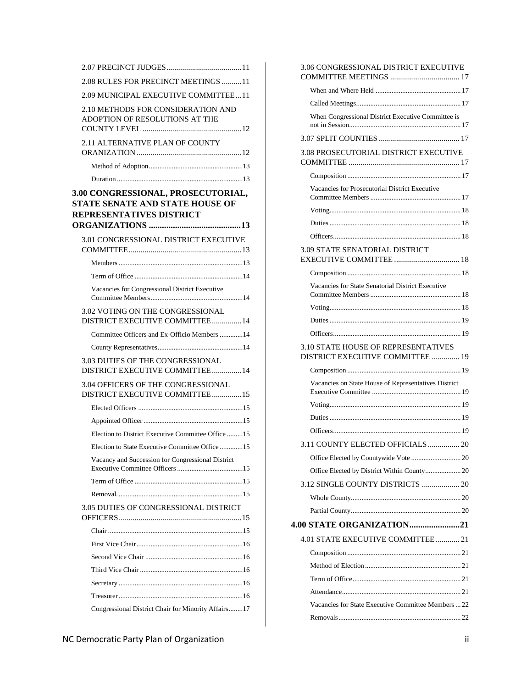| 2.08 RULES FOR PRECINCT MEETINGS 11                                                               |  |
|---------------------------------------------------------------------------------------------------|--|
| 2.09 MUNICIPAL EXECUTIVE COMMITTEE11                                                              |  |
| 2.10 METHODS FOR CONSIDERATION AND<br>ADOPTION OF RESOLUTIONS AT THE                              |  |
| 2.11 ALTERNATIVE PLAN OF COUNTY                                                                   |  |
|                                                                                                   |  |
|                                                                                                   |  |
| 3.00 CONGRESSIONAL, PROSECUTORIAL,<br>STATE SENATE AND STATE HOUSE OF<br>REPRESENTATIVES DISTRICT |  |
| 3.01 CONGRESSIONAL DISTRICT EXECUTIVE                                                             |  |
|                                                                                                   |  |
|                                                                                                   |  |
| Vacancies for Congressional District Executive                                                    |  |
| 3.02 VOTING ON THE CONGRESSIONAL<br>DISTRICT EXECUTIVE COMMITTEE14                                |  |
| Committee Officers and Ex-Officio Members 14                                                      |  |
|                                                                                                   |  |
| 3.03 DUTIES OF THE CONGRESSIONAL<br>DISTRICT EXECUTIVE COMMITTEE14                                |  |
| 3.04 OFFICERS OF THE CONGRESSIONAL<br>DISTRICT EXECUTIVE COMMITTEE15                              |  |
|                                                                                                   |  |
|                                                                                                   |  |
| Election to District Executive Committee Office 15                                                |  |
| Election to State Executive Committee Office 15                                                   |  |
| Vacancy and Succession for Congressional District                                                 |  |
|                                                                                                   |  |
|                                                                                                   |  |
| 3.05 DUTIES OF CONGRESSIONAL DISTRICT                                                             |  |
|                                                                                                   |  |
|                                                                                                   |  |
|                                                                                                   |  |
|                                                                                                   |  |
|                                                                                                   |  |
|                                                                                                   |  |
| Congressional District Chair for Minority Affairs17                                               |  |

| 3.06 CONGRESSIONAL DISTRICT EXECUTIVE                                   |  |
|-------------------------------------------------------------------------|--|
|                                                                         |  |
|                                                                         |  |
| When Congressional District Executive Committee is                      |  |
|                                                                         |  |
| 3.08 PROSECUTORIAL DISTRICT EXECUTIVE                                   |  |
|                                                                         |  |
| Vacancies for Prosecutorial District Executive                          |  |
|                                                                         |  |
|                                                                         |  |
|                                                                         |  |
| <b>3.09 STATE SENATORIAL DISTRICT</b>                                   |  |
|                                                                         |  |
|                                                                         |  |
| Vacancies for State Senatorial District Executive                       |  |
|                                                                         |  |
|                                                                         |  |
|                                                                         |  |
|                                                                         |  |
| 3.10 STATE HOUSE OF REPRESENTATIVES<br>DISTRICT EXECUTIVE COMMITTEE  19 |  |
|                                                                         |  |
| Vacancies on State House of Representatives District                    |  |
|                                                                         |  |
|                                                                         |  |
|                                                                         |  |
| 3.11 COUNTY ELECTED OFFICIALS  20                                       |  |
|                                                                         |  |
| Office Elected by District Within County 20                             |  |
|                                                                         |  |
|                                                                         |  |
|                                                                         |  |
| <b>4.00 STATE ORGANIZATION21</b>                                        |  |
| 4.01 STATE EXECUTIVE COMMITTEE 21                                       |  |
|                                                                         |  |
|                                                                         |  |
|                                                                         |  |
|                                                                         |  |
| Vacancies for State Executive Committee Members  22                     |  |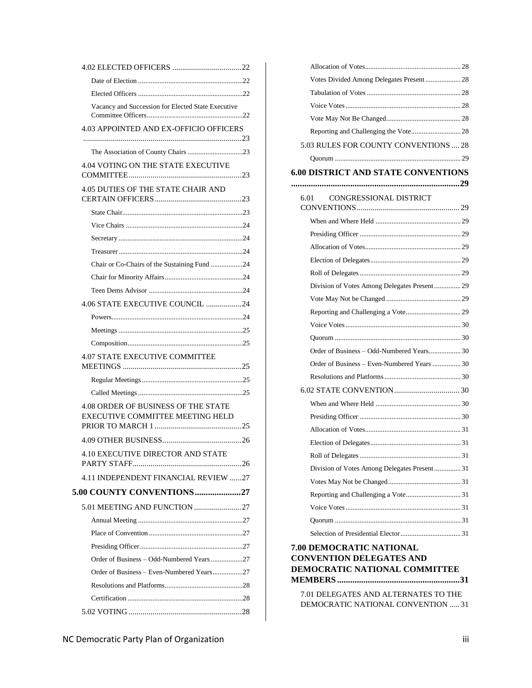| Vacancy and Succession for Elected State Executive                      |  |
|-------------------------------------------------------------------------|--|
| 4.03 APPOINTED AND EX-OFFICIO OFFICERS                                  |  |
|                                                                         |  |
| 4.04 VOTING ON THE STATE EXECUTIVE                                      |  |
| 4.05 DUTIES OF THE STATE CHAIR AND                                      |  |
|                                                                         |  |
|                                                                         |  |
|                                                                         |  |
|                                                                         |  |
| Chair or Co-Chairs of the Sustaining Fund 24                            |  |
|                                                                         |  |
|                                                                         |  |
| 4.06 STATE EXECUTIVE COUNCIL 24                                         |  |
|                                                                         |  |
|                                                                         |  |
|                                                                         |  |
| <b>4.07 STATE EXECUTIVE COMMITTEE</b>                                   |  |
|                                                                         |  |
|                                                                         |  |
| 4.08 ORDER OF BUSINESS OF THE STATE<br>EXECUTIVE COMMITTEE MEETING HELD |  |
|                                                                         |  |
| 4.10 EXECUTIVE DIRECTOR AND STATE                                       |  |
|                                                                         |  |
| 4.11 INDEPENDENT FINANCIAL REVIEW 27                                    |  |
| 5.00 COUNTY CONVENTIONS 27                                              |  |
| 5.01 MEETING AND FUNCTION 27                                            |  |
|                                                                         |  |
|                                                                         |  |
|                                                                         |  |
|                                                                         |  |
| Order of Business - Even-Numbered Years27                               |  |
|                                                                         |  |
|                                                                         |  |
|                                                                         |  |
|                                                                         |  |

| Votes Divided Among Delegates Present 28                                       |  |
|--------------------------------------------------------------------------------|--|
|                                                                                |  |
|                                                                                |  |
|                                                                                |  |
|                                                                                |  |
| 5.03 RULES FOR COUNTY CONVENTIONS  28                                          |  |
|                                                                                |  |
| <b>6.00 DISTRICT AND STATE CONVENTIONS</b>                                     |  |
|                                                                                |  |
| CONGRESSIONAL DISTRICT<br>6.01                                                 |  |
|                                                                                |  |
|                                                                                |  |
|                                                                                |  |
|                                                                                |  |
|                                                                                |  |
| Division of Votes Among Delegates Present 29                                   |  |
|                                                                                |  |
|                                                                                |  |
|                                                                                |  |
|                                                                                |  |
| Order of Business - Odd-Numbered Years 30                                      |  |
| Order of Business - Even-Numbered Years  30                                    |  |
|                                                                                |  |
|                                                                                |  |
|                                                                                |  |
|                                                                                |  |
|                                                                                |  |
|                                                                                |  |
|                                                                                |  |
| Division of Votes Among Delegates Present 31                                   |  |
|                                                                                |  |
|                                                                                |  |
|                                                                                |  |
|                                                                                |  |
|                                                                                |  |
| <b>7.00 DEMOCRATIC NATIONAL</b>                                                |  |
| <b>CONVENTION DELEGATES AND</b><br>DEMOCRATIC NATIONAL COMMITTEE               |  |
| $\alpha$ , but no $\mu$ mps, $\mu$ in $\mu$ is mpart $\mu$ mps ms. $\mu$ music |  |

[7.01 DELEGATES AND ALTERNATES TO THE](#page-36-10)  [DEMOCRATIC NATIONAL CONVENTION](#page-36-10) ..... 31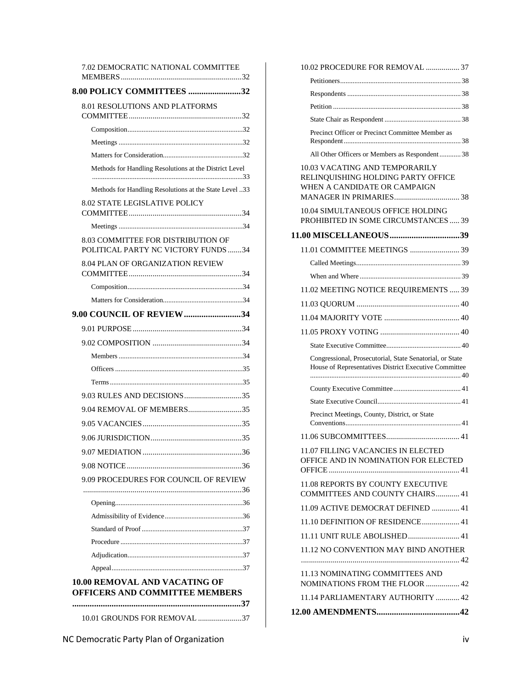| 7.02 DEMOCRATIC NATIONAL COMMITTEE                                            |    |
|-------------------------------------------------------------------------------|----|
|                                                                               |    |
| 8.00 POLICY COMMITTEES 32                                                     |    |
| 8.01 RESOLUTIONS AND PLATFORMS                                                |    |
|                                                                               |    |
|                                                                               |    |
|                                                                               |    |
| Methods for Handling Resolutions at the District Level                        |    |
| Methods for Handling Resolutions at the State Level 33                        |    |
| <b>8.02 STATE LEGISLATIVE POLICY</b>                                          |    |
|                                                                               |    |
| 8.03 COMMITTEE FOR DISTRIBUTION OF<br>POLITICAL PARTY NC VICTORY FUNDS 34     |    |
| 8.04 PLAN OF ORGANIZATION REVIEW                                              |    |
|                                                                               |    |
|                                                                               |    |
| 9.00 COUNCIL OF REVIEW34                                                      |    |
|                                                                               |    |
|                                                                               |    |
|                                                                               |    |
|                                                                               |    |
|                                                                               |    |
| 9.03 RULES AND DECISIONS35                                                    |    |
| 9.04 REMOVAL OF MEMBERS35                                                     |    |
|                                                                               |    |
|                                                                               |    |
| 9.07 MEDIATION.                                                               | 36 |
|                                                                               |    |
| 9.09 PROCEDURES FOR COUNCIL OF REVIEW                                         |    |
|                                                                               |    |
|                                                                               |    |
|                                                                               |    |
|                                                                               |    |
|                                                                               |    |
|                                                                               |    |
|                                                                               |    |
| <b>10.00 REMOVAL AND VACATING OF</b><br><b>OFFICERS AND COMMITTEE MEMBERS</b> |    |
| 37                                                                            |    |
| 10.01 GROUNDS FOR REMOVAL 37                                                  |    |

| Precinct Officer or Precinct Committee Member as                                                                  |  |
|-------------------------------------------------------------------------------------------------------------------|--|
| All Other Officers or Members as Respondent 38                                                                    |  |
| 10.03 VACATING AND TEMPORARILY<br>RELINQUISHING HOLDING PARTY OFFICE<br>WHEN A CANDIDATE OR CAMPAIGN              |  |
| 10.04 SIMULTANEOUS OFFICE HOLDING<br>PROHIBITED IN SOME CIRCUMSTANCES  39                                         |  |
|                                                                                                                   |  |
|                                                                                                                   |  |
|                                                                                                                   |  |
|                                                                                                                   |  |
| 11.02 MEETING NOTICE REQUIREMENTS  39                                                                             |  |
|                                                                                                                   |  |
|                                                                                                                   |  |
|                                                                                                                   |  |
|                                                                                                                   |  |
|                                                                                                                   |  |
| Congressional, Prosecutorial, State Senatorial, or State<br>House of Representatives District Executive Committee |  |
|                                                                                                                   |  |
|                                                                                                                   |  |
| Precinct Meetings, County, District, or State                                                                     |  |
|                                                                                                                   |  |
| 11.07 FILLING VACANCIES IN ELECTED<br>OFFICE AND IN NOMINATION FOR ELECTED                                        |  |
| 11.08 REPORTS BY COUNTY EXECUTIVE<br>COMMITTEES AND COUNTY CHAIRS 41                                              |  |
| 11.09 ACTIVE DEMOCRAT DEFINED  41                                                                                 |  |
| 11.10 DEFINITION OF RESIDENCE 41                                                                                  |  |
| 11.11 UNIT RULE ABOLISHED 41                                                                                      |  |
| 11.12 NO CONVENTION MAY BIND ANOTHER                                                                              |  |
| 11.13 NOMINATING COMMITTEES AND<br>NOMINATIONS FROM THE FLOOR  42                                                 |  |
| 11.14 PARLIAMENTARY AUTHORITY  42                                                                                 |  |

[10.02 PROCEDURE FOR REMOVAL](#page-42-6) ................. 37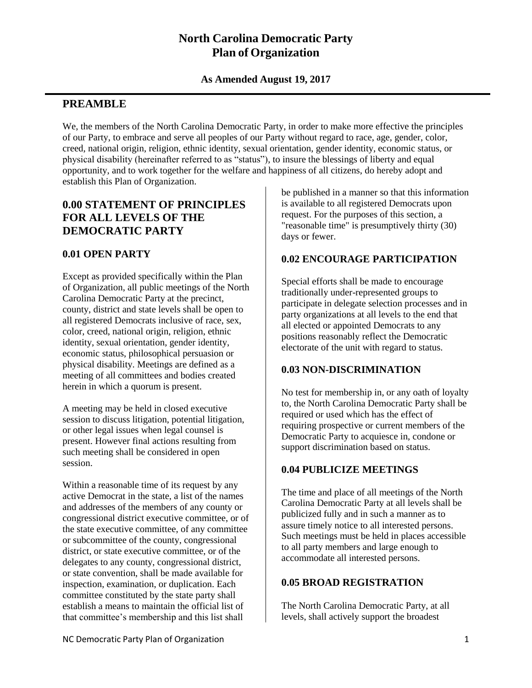## **North Carolina Democratic Party Plan of Organization**

#### **As Amended August 19, 2017**

#### <span id="page-6-0"></span>**PREAMBLE**

We, the members of the North Carolina Democratic Party, in order to make more effective the principles of our Party, to embrace and serve all peoples of our Party without regard to race, age, gender, color, creed, national origin, religion, ethnic identity, sexual orientation, gender identity, economic status, or physical disability (hereinafter referred to as "status"), to insure the blessings of liberty and equal opportunity, and to work together for the welfare and happiness of all citizens, do hereby adopt and establish this Plan of Organization.

## <span id="page-6-1"></span>**0.00 STATEMENT OF PRINCIPLES FOR ALL LEVELS OF THE DEMOCRATIC PARTY**

#### <span id="page-6-2"></span>**0.01 OPEN PARTY**

Except as provided specifically within the Plan of Organization, all public meetings of the North Carolina Democratic Party at the precinct, county, district and state levels shall be open to all registered Democrats inclusive of race, sex, color, creed, national origin, religion, ethnic identity, sexual orientation, gender identity, economic status, philosophical persuasion or physical disability. Meetings are defined as a meeting of all committees and bodies created herein in which a quorum is present.

A meeting may be held in closed executive session to discuss litigation, potential litigation, or other legal issues when legal counsel is present. However final actions resulting from such meeting shall be considered in open session.

Within a reasonable time of its request by any active Democrat in the state, a list of the names and addresses of the members of any county or congressional district executive committee, or of the state executive committee, of any committee or subcommittee of the county, congressional district, or state executive committee, or of the delegates to any county, congressional district, or state convention, shall be made available for inspection, examination, or duplication. Each committee constituted by the state party shall establish a means to maintain the official list of that committee's membership and this list shall

be published in a manner so that this information is available to all registered Democrats upon request. For the purposes of this section, a "reasonable time" is presumptively thirty (30) days or fewer.

## <span id="page-6-3"></span>**0.02 ENCOURAGE PARTICIPATION**

Special efforts shall be made to encourage traditionally under-represented groups to participate in delegate selection processes and in party organizations at all levels to the end that all elected or appointed Democrats to any positions reasonably reflect the Democratic electorate of the unit with regard to status.

#### <span id="page-6-4"></span>**0.03 NON-DISCRIMINATION**

No test for membership in, or any oath of loyalty to, the North Carolina Democratic Party shall be required or used which has the effect of requiring prospective or current members of the Democratic Party to acquiesce in, condone or support discrimination based on status.

#### <span id="page-6-5"></span>**0.04 PUBLICIZE MEETINGS**

The time and place of all meetings of the North Carolina Democratic Party at all levels shall be publicized fully and in such a manner as to assure timely notice to all interested persons. Such meetings must be held in places accessible to all party members and large enough to accommodate all interested persons.

#### <span id="page-6-6"></span>**0.05 BROAD REGISTRATION**

The North Carolina Democratic Party, at all levels, shall actively support the broadest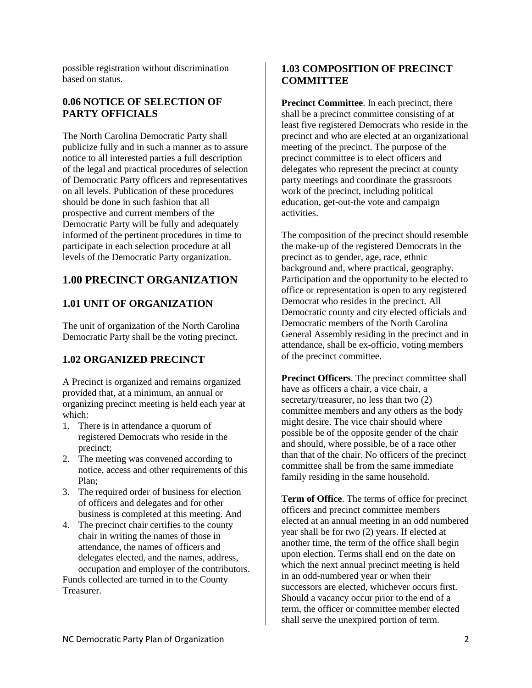possible registration without discrimination based on status.

#### <span id="page-7-0"></span>**0.06 NOTICE OF SELECTION OF PARTY OFFICIALS**

The North Carolina Democratic Party shall publicize fully and in such a manner as to assure notice to all interested parties a full description of the legal and practical procedures of selection of Democratic Party officers and representatives on all levels. Publication of these procedures should be done in such fashion that all prospective and current members of the Democratic Party will be fully and adequately informed of the pertinent procedures in time to participate in each selection procedure at all levels of the Democratic Party organization.

## <span id="page-7-1"></span>**1.00 PRECINCT ORGANIZATION**

#### <span id="page-7-2"></span>**1.01 UNIT OF ORGANIZATION**

The unit of organization of the North Carolina Democratic Party shall be the voting precinct.

#### <span id="page-7-3"></span>**1.02 ORGANIZED PRECINCT**

A Precinct is organized and remains organized provided that, at a minimum, an annual or organizing precinct meeting is held each year at which:

- 1. There is in attendance a quorum of registered Democrats who reside in the precinct;
- 2. The meeting was convened according to notice, access and other requirements of this Plan;
- 3. The required order of business for election of officers and delegates and for other business is completed at this meeting. And
- 4. The precinct chair certifies to the county chair in writing the names of those in attendance, the names of officers and delegates elected, and the names, address, occupation and employer of the contributors. Funds collected are turned in to the County

Treasurer.

#### <span id="page-7-4"></span>**1.03 COMPOSITION OF PRECINCT COMMITTEE**

<span id="page-7-5"></span>**Precinct Committee**. In each precinct, there shall be a precinct committee consisting of at least five registered Democrats who reside in the precinct and who are elected at an organizational meeting of the precinct. The purpose of the precinct committee is to elect officers and delegates who represent the precinct at county party meetings and coordinate the grassroots work of the precinct, including political education, get-out-the vote and campaign activities.

The composition of the precinct should resemble the make-up of the registered Democrats in the precinct as to gender, age, race, ethnic background and, where practical, geography. Participation and the opportunity to be elected to office or representation is open to any registered Democrat who resides in the precinct. All Democratic county and city elected officials and Democratic members of the North Carolina General Assembly residing in the precinct and in attendance, shall be ex-officio, voting members of the precinct committee.

<span id="page-7-6"></span>**Precinct Officers**. The precinct committee shall have as officers a chair, a vice chair, a secretary/treasurer, no less than two (2) committee members and any others as the body might desire. The vice chair should where possible be of the opposite gender of the chair and should, where possible, be of a race other than that of the chair. No officers of the precinct committee shall be from the same immediate family residing in the same household.

<span id="page-7-7"></span>**Term of Office**. The terms of office for precinct officers and precinct committee members elected at an annual meeting in an odd numbered year shall be for two (2) years. If elected at another time, the term of the office shall begin upon election. Terms shall end on the date on which the next annual precinct meeting is held in an odd-numbered year or when their successors are elected, whichever occurs first. Should a vacancy occur prior to the end of a term, the officer or committee member elected shall serve the unexpired portion of term.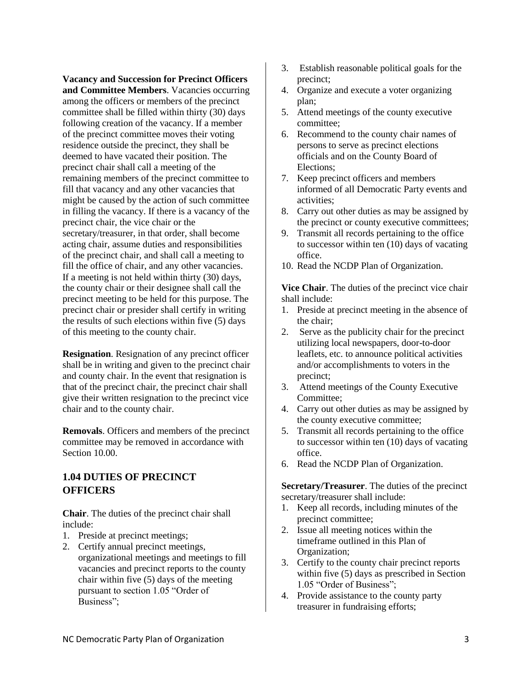<span id="page-8-0"></span>**Vacancy and Succession for Precinct Officers and Committee Members**. Vacancies occurring among the officers or members of the precinct committee shall be filled within thirty (30) days following creation of the vacancy. If a member of the precinct committee moves their voting residence outside the precinct, they shall be deemed to have vacated their position. The precinct chair shall call a meeting of the remaining members of the precinct committee to fill that vacancy and any other vacancies that might be caused by the action of such committee in filling the vacancy. If there is a vacancy of the precinct chair, the vice chair or the secretary/treasurer, in that order, shall become acting chair, assume duties and responsibilities of the precinct chair, and shall call a meeting to fill the office of chair, and any other vacancies. If a meeting is not held within thirty (30) days, the county chair or their designee shall call the precinct meeting to be held for this purpose. The precinct chair or presider shall certify in writing the results of such elections within five (5) days of this meeting to the county chair.

<span id="page-8-1"></span>**Resignation**. Resignation of any precinct officer shall be in writing and given to the precinct chair and county chair. In the event that resignation is that of the precinct chair, the precinct chair shall give their written resignation to the precinct vice chair and to the county chair.

<span id="page-8-2"></span>**Removals**. Officers and members of the precinct committee may be removed in accordance with Section 10.00.

#### <span id="page-8-3"></span>**1.04 DUTIES OF PRECINCT OFFICERS**

<span id="page-8-4"></span>**Chair**. The duties of the precinct chair shall include:

- 1. Preside at precinct meetings;
- 2. Certify annual precinct meetings, organizational meetings and meetings to fill vacancies and precinct reports to the county chair within five (5) days of the meeting pursuant to section 1.05 "Order of Business";
- 3. Establish reasonable political goals for the precinct;
- 4. Organize and execute a voter organizing plan;
- 5. Attend meetings of the county executive committee;
- 6. Recommend to the county chair names of persons to serve as precinct elections officials and on the County Board of Elections;
- 7. Keep precinct officers and members informed of all Democratic Party events and activities;
- 8. Carry out other duties as may be assigned by the precinct or county executive committees;
- 9. Transmit all records pertaining to the office to successor within ten (10) days of vacating office.
- 10. Read the NCDP Plan of Organization.

<span id="page-8-5"></span>**Vice Chair**. The duties of the precinct vice chair shall include:

- 1. Preside at precinct meeting in the absence of the chair;
- 2. Serve as the publicity chair for the precinct utilizing local newspapers, door-to-door leaflets, etc. to announce political activities and/or accomplishments to voters in the precinct;
- 3. Attend meetings of the County Executive Committee;
- 4. Carry out other duties as may be assigned by the county executive committee;
- 5. Transmit all records pertaining to the office to successor within ten (10) days of vacating office.
- 6. Read the NCDP Plan of Organization.

<span id="page-8-6"></span>**Secretary/Treasurer**. The duties of the precinct secretary/treasurer shall include:

- 1. Keep all records, including minutes of the precinct committee;
- 2. Issue all meeting notices within the timeframe outlined in this Plan of Organization;
- 3. Certify to the county chair precinct reports within five (5) days as prescribed in Section 1.05 "Order of Business";
- 4. Provide assistance to the county party treasurer in fundraising efforts;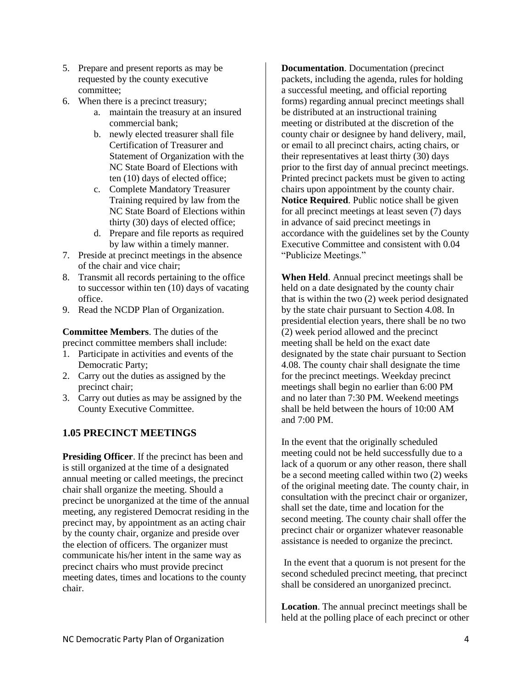- 5. Prepare and present reports as may be requested by the county executive committee;
- 6. When there is a precinct treasury;
	- a. maintain the treasury at an insured commercial bank;
	- b. newly elected treasurer shall file Certification of Treasurer and Statement of Organization with the NC State Board of Elections with ten (10) days of elected office;
	- c. Complete Mandatory Treasurer Training required by law from the NC State Board of Elections within thirty (30) days of elected office;
	- d. Prepare and file reports as required by law within a timely manner.
- 7. Preside at precinct meetings in the absence of the chair and vice chair;
- 8. Transmit all records pertaining to the office to successor within ten (10) days of vacating office.
- 9. Read the NCDP Plan of Organization.

<span id="page-9-0"></span>**Committee Members**. The duties of the precinct committee members shall include:

- 1. Participate in activities and events of the Democratic Party;
- 2. Carry out the duties as assigned by the precinct chair;
- 3. Carry out duties as may be assigned by the County Executive Committee.

#### <span id="page-9-1"></span>**1.05 PRECINCT MEETINGS**

<span id="page-9-2"></span>**Presiding Officer.** If the precinct has been and is still organized at the time of a designated annual meeting or called meetings, the precinct chair shall organize the meeting. Should a precinct be unorganized at the time of the annual meeting, any registered Democrat residing in the precinct may, by appointment as an acting chair by the county chair, organize and preside over the election of officers. The organizer must communicate his/her intent in the same way as precinct chairs who must provide precinct meeting dates, times and locations to the county chair.

<span id="page-9-3"></span>**Documentation**. Documentation (precinct packets, including the agenda, rules for holding a successful meeting, and official reporting forms) regarding annual precinct meetings shall be distributed at an instructional training meeting or distributed at the discretion of the county chair or designee by hand delivery, mail, or email to all precinct chairs, acting chairs, or their representatives at least thirty (30) days prior to the first day of annual precinct meetings. Printed precinct packets must be given to acting chairs upon appointment by the county chair. **Notice Required**. Public notice shall be given for all precinct meetings at least seven (7) days in advance of said precinct meetings in accordance with the guidelines set by the County Executive Committee and consistent with 0.04 "Publicize Meetings."

<span id="page-9-5"></span><span id="page-9-4"></span>**When Held**. Annual precinct meetings shall be held on a date designated by the county chair that is within the two (2) week period designated by the state chair pursuant to Section 4.08. In presidential election years, there shall be no two (2) week period allowed and the precinct meeting shall be held on the exact date designated by the state chair pursuant to Section 4.08. The county chair shall designate the time for the precinct meetings. Weekday precinct meetings shall begin no earlier than 6:00 PM and no later than 7:30 PM. Weekend meetings shall be held between the hours of 10:00 AM and 7:00 PM.

In the event that the originally scheduled meeting could not be held successfully due to a lack of a quorum or any other reason, there shall be a second meeting called within two (2) weeks of the original meeting date. The county chair, in consultation with the precinct chair or organizer, shall set the date, time and location for the second meeting. The county chair shall offer the precinct chair or organizer whatever reasonable assistance is needed to organize the precinct.

In the event that a quorum is not present for the second scheduled precinct meeting, that precinct shall be considered an unorganized precinct.

<span id="page-9-6"></span>**Location**. The annual precinct meetings shall be held at the polling place of each precinct or other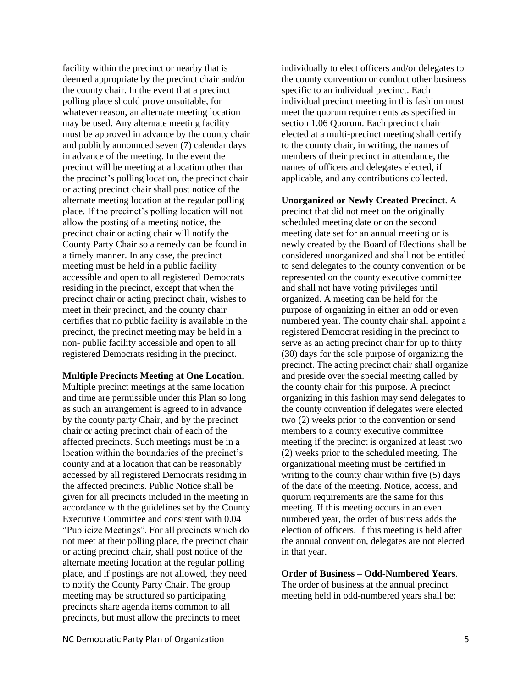facility within the precinct or nearby that is deemed appropriate by the precinct chair and/or the county chair. In the event that a precinct polling place should prove unsuitable, for whatever reason, an alternate meeting location may be used. Any alternate meeting facility must be approved in advance by the county chair and publicly announced seven (7) calendar days in advance of the meeting. In the event the precinct will be meeting at a location other than the precinct's polling location, the precinct chair or acting precinct chair shall post notice of the alternate meeting location at the regular polling place. If the precinct's polling location will not allow the posting of a meeting notice, the precinct chair or acting chair will notify the County Party Chair so a remedy can be found in a timely manner. In any case, the precinct meeting must be held in a public facility accessible and open to all registered Democrats residing in the precinct, except that when the precinct chair or acting precinct chair, wishes to meet in their precinct, and the county chair certifies that no public facility is available in the precinct, the precinct meeting may be held in a non- public facility accessible and open to all registered Democrats residing in the precinct.

#### <span id="page-10-0"></span>**Multiple Precincts Meeting at One Location**.

Multiple precinct meetings at the same location and time are permissible under this Plan so long as such an arrangement is agreed to in advance by the county party Chair, and by the precinct chair or acting precinct chair of each of the affected precincts. Such meetings must be in a location within the boundaries of the precinct's county and at a location that can be reasonably accessed by all registered Democrats residing in the affected precincts. Public Notice shall be given for all precincts included in the meeting in accordance with the guidelines set by the County Executive Committee and consistent with 0.04 "Publicize Meetings". For all precincts which do not meet at their polling place, the precinct chair or acting precinct chair, shall post notice of the alternate meeting location at the regular polling place, and if postings are not allowed, they need to notify the County Party Chair. The group meeting may be structured so participating precincts share agenda items common to all precincts, but must allow the precincts to meet

individually to elect officers and/or delegates to the county convention or conduct other business specific to an individual precinct. Each individual precinct meeting in this fashion must meet the quorum requirements as specified in section 1.06 Quorum. Each precinct chair elected at a multi-precinct meeting shall certify to the county chair, in writing, the names of members of their precinct in attendance, the names of officers and delegates elected, if applicable, and any contributions collected.

#### <span id="page-10-1"></span>**Unorganized or Newly Created Precinct**. A

precinct that did not meet on the originally scheduled meeting date or on the second meeting date set for an annual meeting or is newly created by the Board of Elections shall be considered unorganized and shall not be entitled to send delegates to the county convention or be represented on the county executive committee and shall not have voting privileges until organized. A meeting can be held for the purpose of organizing in either an odd or even numbered year. The county chair shall appoint a registered Democrat residing in the precinct to serve as an acting precinct chair for up to thirty (30) days for the sole purpose of organizing the precinct. The acting precinct chair shall organize and preside over the special meeting called by the county chair for this purpose. A precinct organizing in this fashion may send delegates to the county convention if delegates were elected two (2) weeks prior to the convention or send members to a county executive committee meeting if the precinct is organized at least two (2) weeks prior to the scheduled meeting. The organizational meeting must be certified in writing to the county chair within five (5) days of the date of the meeting. Notice, access, and quorum requirements are the same for this meeting. If this meeting occurs in an even numbered year, the order of business adds the election of officers. If this meeting is held after the annual convention, delegates are not elected in that year.

<span id="page-10-2"></span>**Order of Business – Odd-Numbered Years**. The order of business at the annual precinct meeting held in odd-numbered years shall be: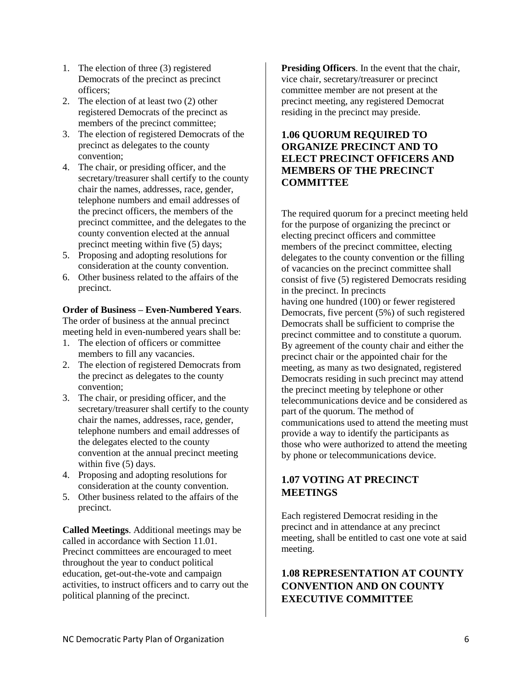- 1. The election of three (3) registered Democrats of the precinct as precinct officers;
- 2. The election of at least two (2) other registered Democrats of the precinct as members of the precinct committee;
- 3. The election of registered Democrats of the precinct as delegates to the county convention;
- 4. The chair, or presiding officer, and the secretary/treasurer shall certify to the county chair the names, addresses, race, gender, telephone numbers and email addresses of the precinct officers, the members of the precinct committee, and the delegates to the county convention elected at the annual precinct meeting within five (5) days;
- 5. Proposing and adopting resolutions for consideration at the county convention.
- 6. Other business related to the affairs of the precinct.

#### <span id="page-11-0"></span>**Order of Business – Even-Numbered Years**.

The order of business at the annual precinct meeting held in even-numbered years shall be:

- 1. The election of officers or committee members to fill any vacancies.
- 2. The election of registered Democrats from the precinct as delegates to the county convention;
- 3. The chair, or presiding officer, and the secretary/treasurer shall certify to the county chair the names, addresses, race, gender, telephone numbers and email addresses of the delegates elected to the county convention at the annual precinct meeting within five (5) days.
- 4. Proposing and adopting resolutions for consideration at the county convention.
- 5. Other business related to the affairs of the precinct.

<span id="page-11-1"></span>**Called Meetings**. Additional meetings may be called in accordance with Section 11.01. Precinct committees are encouraged to meet throughout the year to conduct political education, get-out-the-vote and campaign activities, to instruct officers and to carry out the political planning of the precinct.

<span id="page-11-2"></span>**Presiding Officers**. In the event that the chair, vice chair, secretary/treasurer or precinct committee member are not present at the precinct meeting, any registered Democrat residing in the precinct may preside.

#### <span id="page-11-3"></span>**1.06 QUORUM REQUIRED TO ORGANIZE PRECINCT AND TO ELECT PRECINCT OFFICERS AND MEMBERS OF THE PRECINCT COMMITTEE**

The required quorum for a precinct meeting held for the purpose of organizing the precinct or electing precinct officers and committee members of the precinct committee, electing delegates to the county convention or the filling of vacancies on the precinct committee shall consist of five (5) registered Democrats residing in the precinct. In precincts having one hundred (100) or fewer registered Democrats, five percent (5%) of such registered Democrats shall be sufficient to comprise the precinct committee and to constitute a quorum. By agreement of the county chair and either the precinct chair or the appointed chair for the meeting, as many as two designated, registered Democrats residing in such precinct may attend the precinct meeting by telephone or other telecommunications device and be considered as part of the quorum. The method of communications used to attend the meeting must provide a way to identify the participants as those who were authorized to attend the meeting by phone or telecommunications device.

## <span id="page-11-4"></span>**1.07 VOTING AT PRECINCT MEETINGS**

Each registered Democrat residing in the precinct and in attendance at any precinct meeting, shall be entitled to cast one vote at said meeting.

## <span id="page-11-5"></span>**1.08 REPRESENTATION AT COUNTY CONVENTION AND ON COUNTY EXECUTIVE COMMITTEE**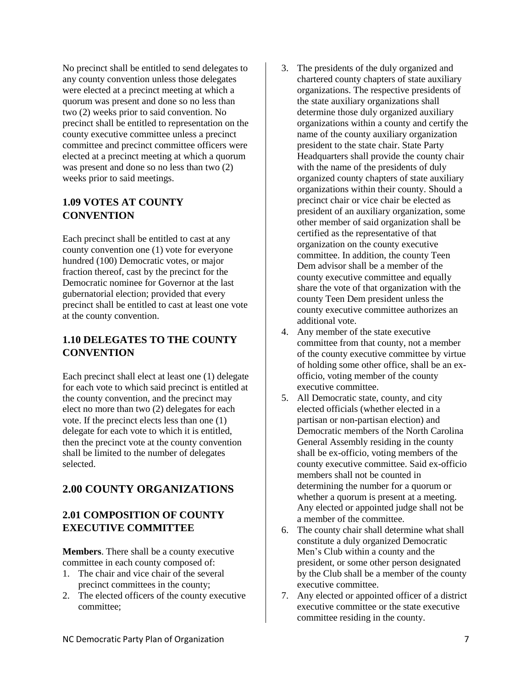No precinct shall be entitled to send delegates to any county convention unless those delegates were elected at a precinct meeting at which a quorum was present and done so no less than two (2) weeks prior to said convention. No precinct shall be entitled to representation on the county executive committee unless a precinct committee and precinct committee officers were elected at a precinct meeting at which a quorum was present and done so no less than two (2) weeks prior to said meetings.

#### <span id="page-12-0"></span>**1.09 VOTES AT COUNTY CONVENTION**

Each precinct shall be entitled to cast at any county convention one (1) vote for everyone hundred (100) Democratic votes, or major fraction thereof, cast by the precinct for the Democratic nominee for Governor at the last gubernatorial election; provided that every precinct shall be entitled to cast at least one vote at the county convention.

## <span id="page-12-1"></span>**1.10 DELEGATES TO THE COUNTY CONVENTION**

Each precinct shall elect at least one (1) delegate for each vote to which said precinct is entitled at the county convention, and the precinct may elect no more than two (2) delegates for each vote. If the precinct elects less than one (1) delegate for each vote to which it is entitled, then the precinct vote at the county convention shall be limited to the number of delegates selected.

## <span id="page-12-2"></span>**2.00 COUNTY ORGANIZATIONS**

## <span id="page-12-3"></span>**2.01 COMPOSITION OF COUNTY EXECUTIVE COMMITTEE**

<span id="page-12-4"></span>**Members**. There shall be a county executive committee in each county composed of:

- 1. The chair and vice chair of the several precinct committees in the county;
- 2. The elected officers of the county executive committee;
- 3. The presidents of the duly organized and chartered county chapters of state auxiliary organizations. The respective presidents of the state auxiliary organizations shall determine those duly organized auxiliary organizations within a county and certify the name of the county auxiliary organization president to the state chair. State Party Headquarters shall provide the county chair with the name of the presidents of duly organized county chapters of state auxiliary organizations within their county. Should a precinct chair or vice chair be elected as president of an auxiliary organization, some other member of said organization shall be certified as the representative of that organization on the county executive committee. In addition, the county Teen Dem advisor shall be a member of the county executive committee and equally share the vote of that organization with the county Teen Dem president unless the county executive committee authorizes an additional vote.
- 4. Any member of the state executive committee from that county, not a member of the county executive committee by virtue of holding some other office, shall be an exofficio, voting member of the county executive committee.
- 5. All Democratic state, county, and city elected officials (whether elected in a partisan or non-partisan election) and Democratic members of the North Carolina General Assembly residing in the county shall be ex-officio, voting members of the county executive committee. Said ex-officio members shall not be counted in determining the number for a quorum or whether a quorum is present at a meeting. Any elected or appointed judge shall not be a member of the committee.
- 6. The county chair shall determine what shall constitute a duly organized Democratic Men's Club within a county and the president, or some other person designated by the Club shall be a member of the county executive committee.
- 7. Any elected or appointed officer of a district executive committee or the state executive committee residing in the county.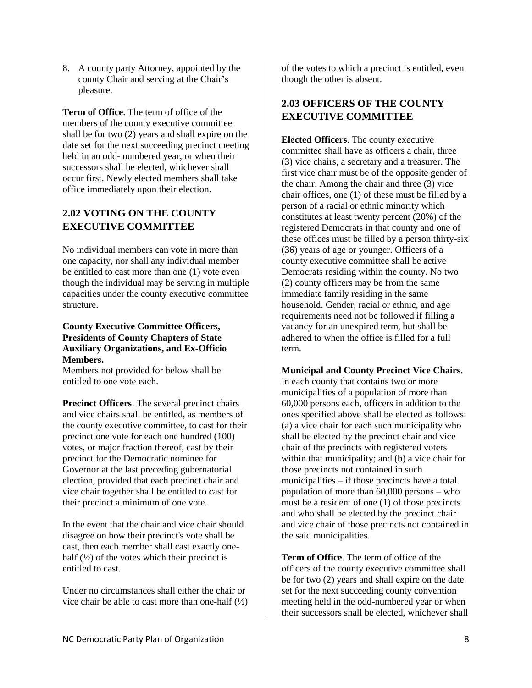8. A county party Attorney, appointed by the county Chair and serving at the Chair's pleasure.

<span id="page-13-0"></span>**Term of Office**. The term of office of the members of the county executive committee shall be for two (2) years and shall expire on the date set for the next succeeding precinct meeting held in an odd- numbered year, or when their successors shall be elected, whichever shall occur first. Newly elected members shall take office immediately upon their election.

#### <span id="page-13-1"></span>**2.02 VOTING ON THE COUNTY EXECUTIVE COMMITTEE**

No individual members can vote in more than one capacity, nor shall any individual member be entitled to cast more than one (1) vote even though the individual may be serving in multiple capacities under the county executive committee structure.

#### <span id="page-13-2"></span>**County Executive Committee Officers, Presidents of County Chapters of State Auxiliary Organizations, and Ex-Officio Members.**

Members not provided for below shall be entitled to one vote each.

<span id="page-13-3"></span>**Precinct Officers**. The several precinct chairs and vice chairs shall be entitled, as members of the county executive committee, to cast for their precinct one vote for each one hundred (100) votes, or major fraction thereof, cast by their precinct for the Democratic nominee for Governor at the last preceding gubernatorial election, provided that each precinct chair and vice chair together shall be entitled to cast for their precinct a minimum of one vote.

In the event that the chair and vice chair should disagree on how their precinct's vote shall be cast, then each member shall cast exactly onehalf  $(\frac{1}{2})$  of the votes which their precinct is entitled to cast.

Under no circumstances shall either the chair or vice chair be able to cast more than one-half  $(\frac{1}{2})$  of the votes to which a precinct is entitled, even though the other is absent.

## <span id="page-13-4"></span>**2.03 OFFICERS OF THE COUNTY EXECUTIVE COMMITTEE**

<span id="page-13-5"></span>**Elected Officers**. The county executive committee shall have as officers a chair, three (3) vice chairs, a secretary and a treasurer. The first vice chair must be of the opposite gender of the chair. Among the chair and three (3) vice chair offices, one (1) of these must be filled by a person of a racial or ethnic minority which constitutes at least twenty percent (20%) of the registered Democrats in that county and one of these offices must be filled by a person thirty-six (36) years of age or younger. Officers of a county executive committee shall be active Democrats residing within the county. No two (2) county officers may be from the same immediate family residing in the same household. Gender, racial or ethnic, and age requirements need not be followed if filling a vacancy for an unexpired term, but shall be adhered to when the office is filled for a full term.

<span id="page-13-6"></span>**Municipal and County Precinct Vice Chairs**.

In each county that contains two or more municipalities of a population of more than 60,000 persons each, officers in addition to the ones specified above shall be elected as follows: (a) a vice chair for each such municipality who shall be elected by the precinct chair and vice chair of the precincts with registered voters within that municipality; and (b) a vice chair for those precincts not contained in such municipalities – if those precincts have a total population of more than 60,000 persons – who must be a resident of one (1) of those precincts and who shall be elected by the precinct chair and vice chair of those precincts not contained in the said municipalities.

<span id="page-13-7"></span>**Term of Office**. The term of office of the officers of the county executive committee shall be for two (2) years and shall expire on the date set for the next succeeding county convention meeting held in the odd-numbered year or when their successors shall be elected, whichever shall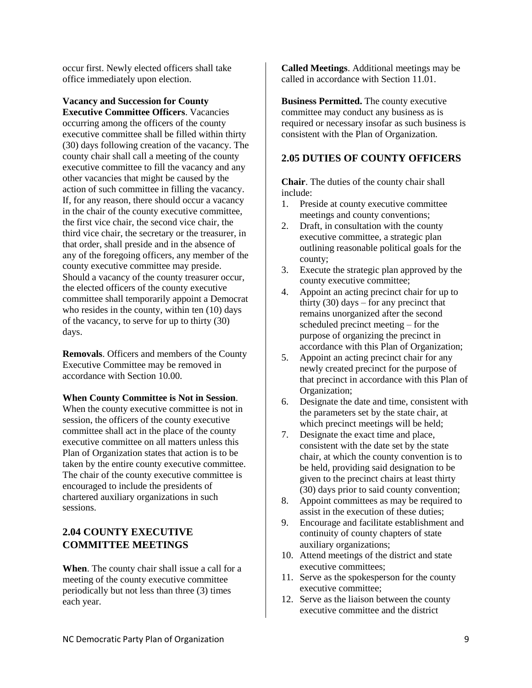occur first. Newly elected officers shall take office immediately upon election.

<span id="page-14-0"></span>**Vacancy and Succession for County Executive Committee Officers**. Vacancies occurring among the officers of the county executive committee shall be filled within thirty (30) days following creation of the vacancy. The county chair shall call a meeting of the county executive committee to fill the vacancy and any other vacancies that might be caused by the action of such committee in filling the vacancy. If, for any reason, there should occur a vacancy in the chair of the county executive committee, the first vice chair, the second vice chair, the third vice chair, the secretary or the treasurer, in that order, shall preside and in the absence of any of the foregoing officers, any member of the county executive committee may preside. Should a vacancy of the county treasurer occur, the elected officers of the county executive committee shall temporarily appoint a Democrat who resides in the county, within ten (10) days of the vacancy, to serve for up to thirty (30) days.

<span id="page-14-1"></span>**Removals**. Officers and members of the County Executive Committee may be removed in accordance with Section 10.00.

#### <span id="page-14-2"></span>**When County Committee is Not in Session**.

When the county executive committee is not in session, the officers of the county executive committee shall act in the place of the county executive committee on all matters unless this Plan of Organization states that action is to be taken by the entire county executive committee. The chair of the county executive committee is encouraged to include the presidents of chartered auxiliary organizations in such sessions.

## <span id="page-14-3"></span>**2.04 COUNTY EXECUTIVE COMMITTEE MEETINGS**

<span id="page-14-4"></span>**When**. The county chair shall issue a call for a meeting of the county executive committee periodically but not less than three (3) times each year.

<span id="page-14-5"></span>**Called Meetings**. Additional meetings may be called in accordance with Section 11.01.

<span id="page-14-6"></span>**Business Permitted.** The county executive committee may conduct any business as is required or necessary insofar as such business is consistent with the Plan of Organization.

#### <span id="page-14-7"></span>**2.05 DUTIES OF COUNTY OFFICERS**

<span id="page-14-8"></span>**Chair**. The duties of the county chair shall include:

- 1. Preside at county executive committee meetings and county conventions;
- 2. Draft, in consultation with the county executive committee, a strategic plan outlining reasonable political goals for the county;
- 3. Execute the strategic plan approved by the county executive committee;
- 4. Appoint an acting precinct chair for up to thirty  $(30)$  days – for any precinct that remains unorganized after the second scheduled precinct meeting – for the purpose of organizing the precinct in accordance with this Plan of Organization;
- 5. Appoint an acting precinct chair for any newly created precinct for the purpose of that precinct in accordance with this Plan of Organization;
- 6. Designate the date and time, consistent with the parameters set by the state chair, at which precinct meetings will be held;
- 7. Designate the exact time and place, consistent with the date set by the state chair, at which the county convention is to be held, providing said designation to be given to the precinct chairs at least thirty (30) days prior to said county convention;
- 8. Appoint committees as may be required to assist in the execution of these duties;
- 9. Encourage and facilitate establishment and continuity of county chapters of state auxiliary organizations;
- 10. Attend meetings of the district and state executive committees;
- 11. Serve as the spokesperson for the county executive committee;
- 12. Serve as the liaison between the county executive committee and the district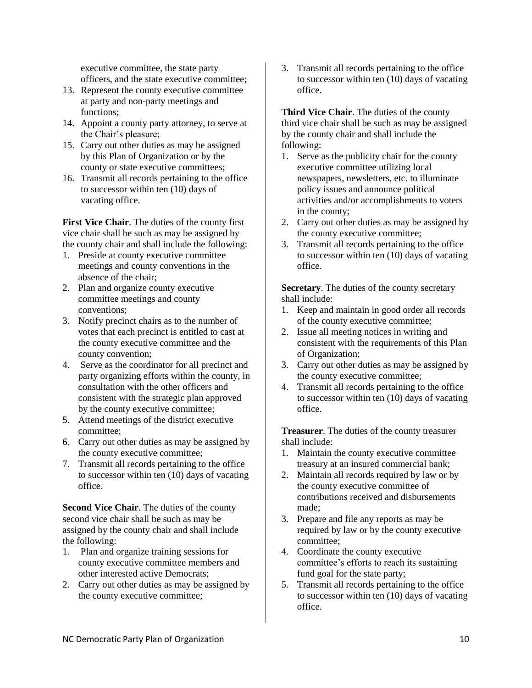executive committee, the state party officers, and the state executive committee;

- 13. Represent the county executive committee at party and non-party meetings and functions;
- 14. Appoint a county party attorney, to serve at the Chair's pleasure;
- 15. Carry out other duties as may be assigned by this Plan of Organization or by the county or state executive committees;
- 16. Transmit all records pertaining to the office to successor within ten (10) days of vacating office.

<span id="page-15-0"></span>**First Vice Chair**. The duties of the county first vice chair shall be such as may be assigned by the county chair and shall include the following:

- 1. Preside at county executive committee meetings and county conventions in the absence of the chair;
- 2. Plan and organize county executive committee meetings and county conventions;
- 3. Notify precinct chairs as to the number of votes that each precinct is entitled to cast at the county executive committee and the county convention;
- 4. Serve as the coordinator for all precinct and party organizing efforts within the county, in consultation with the other officers and consistent with the strategic plan approved by the county executive committee;
- 5. Attend meetings of the district executive committee;
- 6. Carry out other duties as may be assigned by the county executive committee;
- 7. Transmit all records pertaining to the office to successor within ten (10) days of vacating office.

<span id="page-15-1"></span>**Second Vice Chair.** The duties of the county second vice chair shall be such as may be assigned by the county chair and shall include the following:

- 1. Plan and organize training sessions for county executive committee members and other interested active Democrats;
- 2. Carry out other duties as may be assigned by the county executive committee;

3. Transmit all records pertaining to the office to successor within ten (10) days of vacating office.

<span id="page-15-2"></span>**Third Vice Chair**. The duties of the county third vice chair shall be such as may be assigned by the county chair and shall include the following:

- 1. Serve as the publicity chair for the county executive committee utilizing local newspapers, newsletters, etc. to illuminate policy issues and announce political activities and/or accomplishments to voters in the county;
- 2. Carry out other duties as may be assigned by the county executive committee;
- 3. Transmit all records pertaining to the office to successor within ten (10) days of vacating office.

<span id="page-15-3"></span>**Secretary**. The duties of the county secretary shall include:

- 1. Keep and maintain in good order all records of the county executive committee;
- 2. Issue all meeting notices in writing and consistent with the requirements of this Plan of Organization;
- 3. Carry out other duties as may be assigned by the county executive committee;
- 4. Transmit all records pertaining to the office to successor within ten (10) days of vacating office.

<span id="page-15-4"></span>**Treasurer**. The duties of the county treasurer shall include:

- 1. Maintain the county executive committee treasury at an insured commercial bank;
- 2. Maintain all records required by law or by the county executive committee of contributions received and disbursements made;
- 3. Prepare and file any reports as may be required by law or by the county executive committee;
- 4. Coordinate the county executive committee's efforts to reach its sustaining fund goal for the state party;
- 5. Transmit all records pertaining to the office to successor within ten (10) days of vacating office.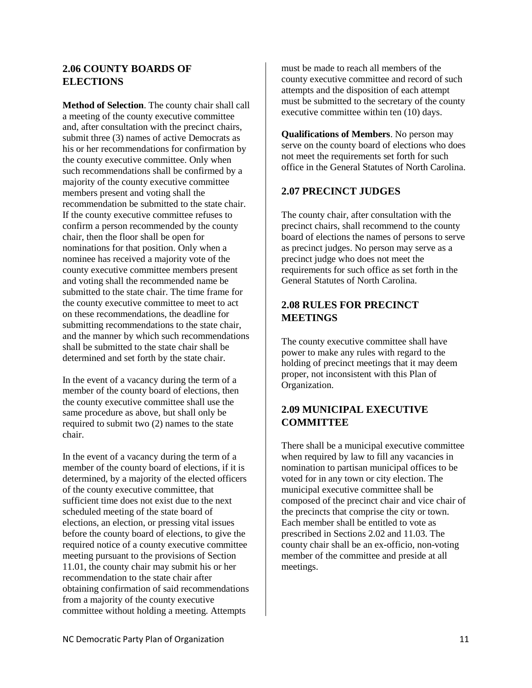#### <span id="page-16-0"></span>**2.06 COUNTY BOARDS OF ELECTIONS**

<span id="page-16-1"></span>**Method of Selection**. The county chair shall call a meeting of the county executive committee and, after consultation with the precinct chairs, submit three (3) names of active Democrats as his or her recommendations for confirmation by the county executive committee. Only when such recommendations shall be confirmed by a majority of the county executive committee members present and voting shall the recommendation be submitted to the state chair. If the county executive committee refuses to confirm a person recommended by the county chair, then the floor shall be open for nominations for that position. Only when a nominee has received a majority vote of the county executive committee members present and voting shall the recommended name be submitted to the state chair. The time frame for the county executive committee to meet to act on these recommendations, the deadline for submitting recommendations to the state chair, and the manner by which such recommendations shall be submitted to the state chair shall be determined and set forth by the state chair.

In the event of a vacancy during the term of a member of the county board of elections, then the county executive committee shall use the same procedure as above, but shall only be required to submit two (2) names to the state chair.

In the event of a vacancy during the term of a member of the county board of elections, if it is determined, by a majority of the elected officers of the county executive committee, that sufficient time does not exist due to the next scheduled meeting of the state board of elections, an election, or pressing vital issues before the county board of elections, to give the required notice of a county executive committee meeting pursuant to the provisions of Section 11.01, the county chair may submit his or her recommendation to the state chair after obtaining confirmation of said recommendations from a majority of the county executive committee without holding a meeting. Attempts

must be made to reach all members of the county executive committee and record of such attempts and the disposition of each attempt must be submitted to the secretary of the county executive committee within ten (10) days.

<span id="page-16-2"></span>**Qualifications of Members**. No person may serve on the county board of elections who does not meet the requirements set forth for such office in the General Statutes of North Carolina.

## <span id="page-16-3"></span>**2.07 PRECINCT JUDGES**

The county chair, after consultation with the precinct chairs, shall recommend to the county board of elections the names of persons to serve as precinct judges. No person may serve as a precinct judge who does not meet the requirements for such office as set forth in the General Statutes of North Carolina.

#### <span id="page-16-4"></span>**2.08 RULES FOR PRECINCT MEETINGS**

The county executive committee shall have power to make any rules with regard to the holding of precinct meetings that it may deem proper, not inconsistent with this Plan of Organization.

## <span id="page-16-5"></span>**2.09 MUNICIPAL EXECUTIVE COMMITTEE**

There shall be a municipal executive committee when required by law to fill any vacancies in nomination to partisan municipal offices to be voted for in any town or city election. The municipal executive committee shall be composed of the precinct chair and vice chair of the precincts that comprise the city or town. Each member shall be entitled to vote as prescribed in Sections 2.02 and 11.03. The county chair shall be an ex-officio, non-voting member of the committee and preside at all meetings.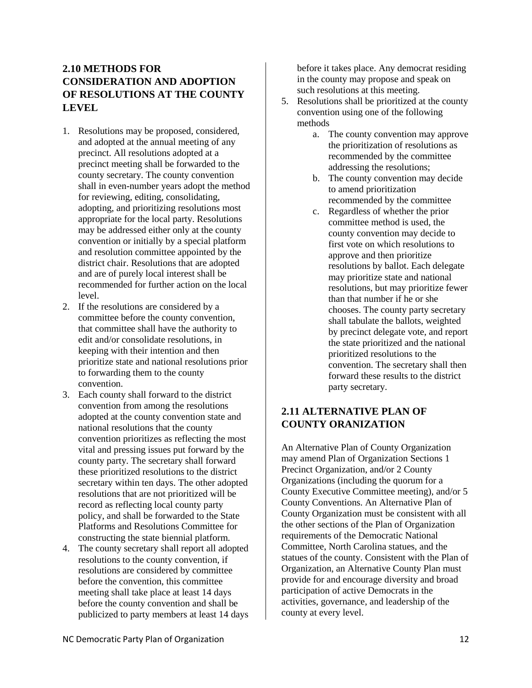## <span id="page-17-0"></span>**2.10 METHODS FOR CONSIDERATION AND ADOPTION OF RESOLUTIONS AT THE COUNTY LEVEL**

- 1. Resolutions may be proposed, considered, and adopted at the annual meeting of any precinct. All resolutions adopted at a precinct meeting shall be forwarded to the county secretary. The county convention shall in even-number years adopt the method for reviewing, editing, consolidating, adopting, and prioritizing resolutions most appropriate for the local party. Resolutions may be addressed either only at the county convention or initially by a special platform and resolution committee appointed by the district chair. Resolutions that are adopted and are of purely local interest shall be recommended for further action on the local level.
- 2. If the resolutions are considered by a committee before the county convention, that committee shall have the authority to edit and/or consolidate resolutions, in keeping with their intention and then prioritize state and national resolutions prior to forwarding them to the county convention.
- 3. Each county shall forward to the district convention from among the resolutions adopted at the county convention state and national resolutions that the county convention prioritizes as reflecting the most vital and pressing issues put forward by the county party. The secretary shall forward these prioritized resolutions to the district secretary within ten days. The other adopted resolutions that are not prioritized will be record as reflecting local county party policy, and shall be forwarded to the State Platforms and Resolutions Committee for constructing the state biennial platform.
- 4. The county secretary shall report all adopted resolutions to the county convention, if resolutions are considered by committee before the convention, this committee meeting shall take place at least 14 days before the county convention and shall be publicized to party members at least 14 days

before it takes place. Any democrat residing in the county may propose and speak on such resolutions at this meeting.

- 5. Resolutions shall be prioritized at the county convention using one of the following methods
	- a. The county convention may approve the prioritization of resolutions as recommended by the committee addressing the resolutions;
	- b. The county convention may decide to amend prioritization recommended by the committee
	- c. Regardless of whether the prior committee method is used, the county convention may decide to first vote on which resolutions to approve and then prioritize resolutions by ballot. Each delegate may prioritize state and national resolutions, but may prioritize fewer than that number if he or she chooses. The county party secretary shall tabulate the ballots, weighted by precinct delegate vote, and report the state prioritized and the national prioritized resolutions to the convention. The secretary shall then forward these results to the district party secretary.

## <span id="page-17-1"></span>**2.11 ALTERNATIVE PLAN OF COUNTY ORANIZATION**

An Alternative Plan of County Organization may amend Plan of Organization Sections 1 Precinct Organization, and/or 2 County Organizations (including the quorum for a County Executive Committee meeting), and/or 5 County Conventions. An Alternative Plan of County Organization must be consistent with all the other sections of the Plan of Organization requirements of the Democratic National Committee, North Carolina statues, and the statues of the county. Consistent with the Plan of Organization, an Alternative County Plan must provide for and encourage diversity and broad participation of active Democrats in the activities, governance, and leadership of the county at every level.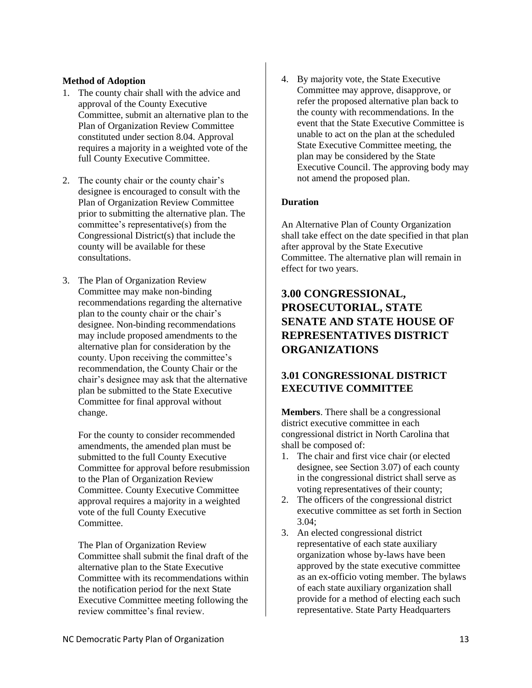#### <span id="page-18-0"></span>**Method of Adoption**

- 1. The county chair shall with the advice and approval of the County Executive Committee, submit an alternative plan to the Plan of Organization Review Committee constituted under section 8.04. Approval requires a majority in a weighted vote of the full County Executive Committee.
- 2. The county chair or the county chair's designee is encouraged to consult with the Plan of Organization Review Committee prior to submitting the alternative plan. The committee's representative(s) from the Congressional District(s) that include the county will be available for these consultations.
- 3. The Plan of Organization Review Committee may make non-binding recommendations regarding the alternative plan to the county chair or the chair's designee. Non-binding recommendations may include proposed amendments to the alternative plan for consideration by the county. Upon receiving the committee's recommendation, the County Chair or the chair's designee may ask that the alternative plan be submitted to the State Executive Committee for final approval without change.

For the county to consider recommended amendments, the amended plan must be submitted to the full County Executive Committee for approval before resubmission to the Plan of Organization Review Committee. County Executive Committee approval requires a majority in a weighted vote of the full County Executive Committee.

The Plan of Organization Review Committee shall submit the final draft of the alternative plan to the State Executive Committee with its recommendations within the notification period for the next State Executive Committee meeting following the review committee's final review.

4. By majority vote, the State Executive Committee may approve, disapprove, or refer the proposed alternative plan back to the county with recommendations. In the event that the State Executive Committee is unable to act on the plan at the scheduled State Executive Committee meeting, the plan may be considered by the State Executive Council. The approving body may not amend the proposed plan.

#### <span id="page-18-1"></span>**Duration**

An Alternative Plan of County Organization shall take effect on the date specified in that plan after approval by the State Executive Committee. The alternative plan will remain in effect for two years.

## <span id="page-18-2"></span>**3.00 CONGRESSIONAL, PROSECUTORIAL, STATE SENATE AND STATE HOUSE OF REPRESENTATIVES DISTRICT ORGANIZATIONS**

## <span id="page-18-3"></span>**3.01 CONGRESSIONAL DISTRICT EXECUTIVE COMMITTEE**

<span id="page-18-4"></span>**Members**. There shall be a congressional district executive committee in each congressional district in North Carolina that shall be composed of:

- 1. The chair and first vice chair (or elected designee, see Section 3.07) of each county in the congressional district shall serve as voting representatives of their county;
- 2. The officers of the congressional district executive committee as set forth in Section 3.04;
- 3. An elected congressional district representative of each state auxiliary organization whose by-laws have been approved by the state executive committee as an ex-officio voting member. The bylaws of each state auxiliary organization shall provide for a method of electing each such representative. State Party Headquarters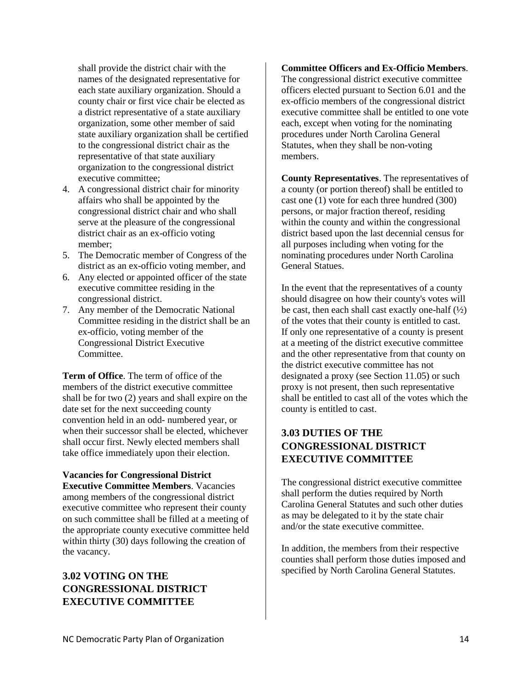shall provide the district chair with the names of the designated representative for each state auxiliary organization. Should a county chair or first vice chair be elected as a district representative of a state auxiliary organization, some other member of said state auxiliary organization shall be certified to the congressional district chair as the representative of that state auxiliary organization to the congressional district executive committee;

- 4. A congressional district chair for minority affairs who shall be appointed by the congressional district chair and who shall serve at the pleasure of the congressional district chair as an ex-officio voting member;
- 5. The Democratic member of Congress of the district as an ex-officio voting member, and
- 6. Any elected or appointed officer of the state executive committee residing in the congressional district.
- 7. Any member of the Democratic National Committee residing in the district shall be an ex-officio, voting member of the Congressional District Executive Committee.

<span id="page-19-0"></span>**Term of Office**. The term of office of the members of the district executive committee shall be for two (2) years and shall expire on the date set for the next succeeding county convention held in an odd- numbered year, or when their successor shall be elected, whichever shall occur first. Newly elected members shall take office immediately upon their election.

## <span id="page-19-1"></span>**Vacancies for Congressional District**

**Executive Committee Members**. Vacancies among members of the congressional district executive committee who represent their county on such committee shall be filled at a meeting of the appropriate county executive committee held within thirty (30) days following the creation of the vacancy.

## <span id="page-19-2"></span>**3.02 VOTING ON THE CONGRESSIONAL DISTRICT EXECUTIVE COMMITTEE**

<span id="page-19-3"></span>**Committee Officers and Ex-Officio Members**. The congressional district executive committee officers elected pursuant to Section 6.01 and the ex-officio members of the congressional district executive committee shall be entitled to one vote each, except when voting for the nominating procedures under North Carolina General Statutes, when they shall be non-voting members.

<span id="page-19-4"></span>**County Representatives**. The representatives of a county (or portion thereof) shall be entitled to cast one (1) vote for each three hundred (300) persons, or major fraction thereof, residing within the county and within the congressional district based upon the last decennial census for all purposes including when voting for the nominating procedures under North Carolina General Statues.

In the event that the representatives of a county should disagree on how their county's votes will be cast, then each shall cast exactly one-half  $(\frac{1}{2})$ of the votes that their county is entitled to cast. If only one representative of a county is present at a meeting of the district executive committee and the other representative from that county on the district executive committee has not designated a proxy (see Section 11.05) or such proxy is not present, then such representative shall be entitled to cast all of the votes which the county is entitled to cast.

## <span id="page-19-5"></span>**3.03 DUTIES OF THE CONGRESSIONAL DISTRICT EXECUTIVE COMMITTEE**

The congressional district executive committee shall perform the duties required by North Carolina General Statutes and such other duties as may be delegated to it by the state chair and/or the state executive committee.

In addition, the members from their respective counties shall perform those duties imposed and specified by North Carolina General Statutes.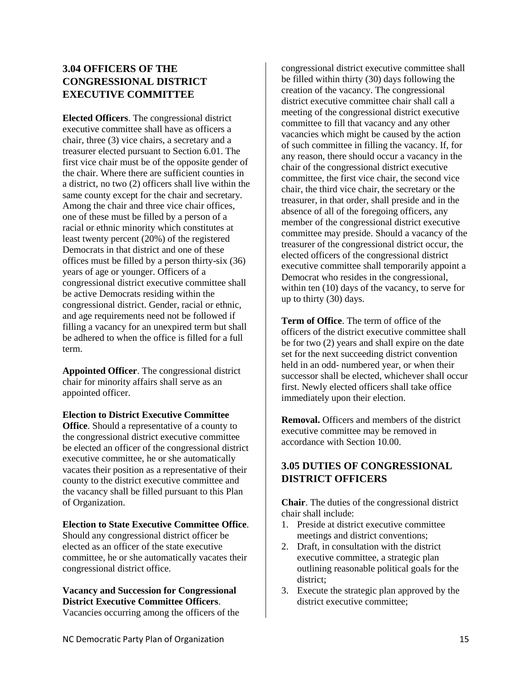## <span id="page-20-0"></span>**3.04 OFFICERS OF THE CONGRESSIONAL DISTRICT EXECUTIVE COMMITTEE**

<span id="page-20-1"></span>**Elected Officers**. The congressional district executive committee shall have as officers a chair, three (3) vice chairs, a secretary and a treasurer elected pursuant to Section 6.01. The first vice chair must be of the opposite gender of the chair. Where there are sufficient counties in a district, no two (2) officers shall live within the same county except for the chair and secretary. Among the chair and three vice chair offices, one of these must be filled by a person of a racial or ethnic minority which constitutes at least twenty percent (20%) of the registered Democrats in that district and one of these offices must be filled by a person thirty-six (36) years of age or younger. Officers of a congressional district executive committee shall be active Democrats residing within the congressional district. Gender, racial or ethnic, and age requirements need not be followed if filling a vacancy for an unexpired term but shall be adhered to when the office is filled for a full term.

<span id="page-20-2"></span>**Appointed Officer**. The congressional district chair for minority affairs shall serve as an appointed officer.

#### <span id="page-20-3"></span>**Election to District Executive Committee**

**Office**. Should a representative of a county to the congressional district executive committee be elected an officer of the congressional district executive committee, he or she automatically vacates their position as a representative of their county to the district executive committee and the vacancy shall be filled pursuant to this Plan of Organization.

#### <span id="page-20-4"></span>**Election to State Executive Committee Office**.

Should any congressional district officer be elected as an officer of the state executive committee, he or she automatically vacates their congressional district office.

#### <span id="page-20-5"></span>**Vacancy and Succession for Congressional District Executive Committee Officers**.

Vacancies occurring among the officers of the

congressional district executive committee shall be filled within thirty (30) days following the creation of the vacancy. The congressional district executive committee chair shall call a meeting of the congressional district executive committee to fill that vacancy and any other vacancies which might be caused by the action of such committee in filling the vacancy. If, for any reason, there should occur a vacancy in the chair of the congressional district executive committee, the first vice chair, the second vice chair, the third vice chair, the secretary or the treasurer, in that order, shall preside and in the absence of all of the foregoing officers, any member of the congressional district executive committee may preside. Should a vacancy of the treasurer of the congressional district occur, the elected officers of the congressional district executive committee shall temporarily appoint a Democrat who resides in the congressional, within ten (10) days of the vacancy, to serve for up to thirty (30) days.

<span id="page-20-6"></span>**Term of Office**. The term of office of the officers of the district executive committee shall be for two (2) years and shall expire on the date set for the next succeeding district convention held in an odd- numbered year, or when their successor shall be elected, whichever shall occur first. Newly elected officers shall take office immediately upon their election.

<span id="page-20-7"></span>**Removal.** Officers and members of the district executive committee may be removed in accordance with Section 10.00.

## <span id="page-20-8"></span>**3.05 DUTIES OF CONGRESSIONAL DISTRICT OFFICERS**

<span id="page-20-9"></span>**Chair**. The duties of the congressional district chair shall include:

- 1. Preside at district executive committee meetings and district conventions;
- 2. Draft, in consultation with the district executive committee, a strategic plan outlining reasonable political goals for the district;
- 3. Execute the strategic plan approved by the district executive committee;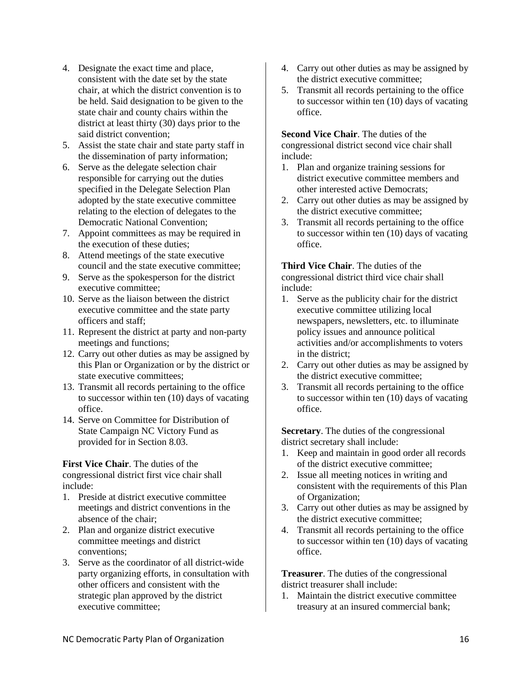- 4. Designate the exact time and place, consistent with the date set by the state chair, at which the district convention is to be held. Said designation to be given to the state chair and county chairs within the district at least thirty (30) days prior to the said district convention;
- 5. Assist the state chair and state party staff in the dissemination of party information;
- 6. Serve as the delegate selection chair responsible for carrying out the duties specified in the Delegate Selection Plan adopted by the state executive committee relating to the election of delegates to the Democratic National Convention;
- 7. Appoint committees as may be required in the execution of these duties;
- 8. Attend meetings of the state executive council and the state executive committee;
- 9. Serve as the spokesperson for the district executive committee;
- 10. Serve as the liaison between the district executive committee and the state party officers and staff;
- 11. Represent the district at party and non-party meetings and functions;
- 12. Carry out other duties as may be assigned by this Plan or Organization or by the district or state executive committees;
- 13. Transmit all records pertaining to the office to successor within ten (10) days of vacating office.
- 14. Serve on Committee for Distribution of State Campaign NC Victory Fund as provided for in Section 8.03.

<span id="page-21-0"></span>**First Vice Chair**. The duties of the congressional district first vice chair shall include:

- 1. Preside at district executive committee meetings and district conventions in the absence of the chair;
- 2. Plan and organize district executive committee meetings and district conventions;
- 3. Serve as the coordinator of all district-wide party organizing efforts, in consultation with other officers and consistent with the strategic plan approved by the district executive committee;
- 4. Carry out other duties as may be assigned by the district executive committee;
- 5. Transmit all records pertaining to the office to successor within ten (10) days of vacating office.

<span id="page-21-1"></span>**Second Vice Chair**. The duties of the congressional district second vice chair shall include:

- 1. Plan and organize training sessions for district executive committee members and other interested active Democrats;
- 2. Carry out other duties as may be assigned by the district executive committee;
- 3. Transmit all records pertaining to the office to successor within ten (10) days of vacating office.

<span id="page-21-2"></span>**Third Vice Chair**. The duties of the congressional district third vice chair shall include:

- 1. Serve as the publicity chair for the district executive committee utilizing local newspapers, newsletters, etc. to illuminate policy issues and announce political activities and/or accomplishments to voters in the district;
- 2. Carry out other duties as may be assigned by the district executive committee;
- 3. Transmit all records pertaining to the office to successor within ten (10) days of vacating office.

<span id="page-21-3"></span>**Secretary**. The duties of the congressional district secretary shall include:

- 1. Keep and maintain in good order all records of the district executive committee;
- 2. Issue all meeting notices in writing and consistent with the requirements of this Plan of Organization;
- 3. Carry out other duties as may be assigned by the district executive committee;
- 4. Transmit all records pertaining to the office to successor within ten (10) days of vacating office.

<span id="page-21-4"></span>**Treasurer**. The duties of the congressional district treasurer shall include:

1. Maintain the district executive committee treasury at an insured commercial bank;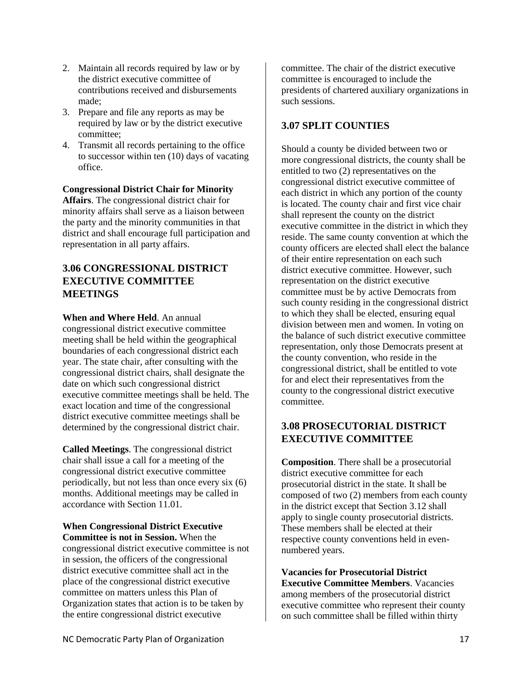- 2. Maintain all records required by law or by the district executive committee of contributions received and disbursements made;
- 3. Prepare and file any reports as may be required by law or by the district executive committee;
- 4. Transmit all records pertaining to the office to successor within ten (10) days of vacating office.

#### <span id="page-22-0"></span>**Congressional District Chair for Minority**

**Affairs**. The congressional district chair for minority affairs shall serve as a liaison between the party and the minority communities in that district and shall encourage full participation and representation in all party affairs.

#### <span id="page-22-1"></span>**3.06 CONGRESSIONAL DISTRICT EXECUTIVE COMMITTEE MEETINGS**

<span id="page-22-2"></span>**When and Where Held**. An annual congressional district executive committee meeting shall be held within the geographical boundaries of each congressional district each year. The state chair, after consulting with the congressional district chairs, shall designate the date on which such congressional district executive committee meetings shall be held. The exact location and time of the congressional district executive committee meetings shall be determined by the congressional district chair.

<span id="page-22-3"></span>**Called Meetings**. The congressional district chair shall issue a call for a meeting of the congressional district executive committee periodically, but not less than once every six (6) months. Additional meetings may be called in accordance with Section 11.01.

#### <span id="page-22-4"></span>**When Congressional District Executive Committee is not in Session.** When the congressional district executive committee is not in session, the officers of the congressional district executive committee shall act in the place of the congressional district executive committee on matters unless this Plan of Organization states that action is to be taken by the entire congressional district executive

committee. The chair of the district executive committee is encouraged to include the presidents of chartered auxiliary organizations in such sessions.

#### <span id="page-22-5"></span>**3.07 SPLIT COUNTIES**

Should a county be divided between two or more congressional districts, the county shall be entitled to two (2) representatives on the congressional district executive committee of each district in which any portion of the county is located. The county chair and first vice chair shall represent the county on the district executive committee in the district in which they reside. The same county convention at which the county officers are elected shall elect the balance of their entire representation on each such district executive committee. However, such representation on the district executive committee must be by active Democrats from such county residing in the congressional district to which they shall be elected, ensuring equal division between men and women. In voting on the balance of such district executive committee representation, only those Democrats present at the county convention, who reside in the congressional district, shall be entitled to vote for and elect their representatives from the county to the congressional district executive committee.

## <span id="page-22-6"></span>**3.08 PROSECUTORIAL DISTRICT EXECUTIVE COMMITTEE**

<span id="page-22-7"></span>**Composition**. There shall be a prosecutorial district executive committee for each prosecutorial district in the state. It shall be composed of two (2) members from each county in the district except that Section 3.12 shall apply to single county prosecutorial districts. These members shall be elected at their respective county conventions held in evennumbered years.

<span id="page-22-8"></span>**Vacancies for Prosecutorial District Executive Committee Members**. Vacancies among members of the prosecutorial district executive committee who represent their county on such committee shall be filled within thirty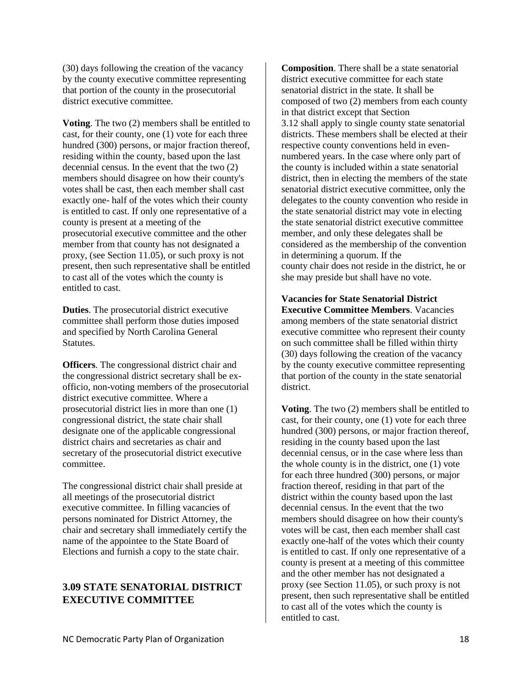(30) days following the creation of the vacancy by the county executive committee representing that portion of the county in the prosecutorial district executive committee.

<span id="page-23-0"></span>**Voting**. The two (2) members shall be entitled to cast, for their county, one (1) vote for each three hundred (300) persons, or major fraction thereof, residing within the county, based upon the last decennial census. In the event that the two (2) members should disagree on how their county's votes shall be cast, then each member shall cast exactly one- half of the votes which their county is entitled to cast. If only one representative of a county is present at a meeting of the prosecutorial executive committee and the other member from that county has not designated a proxy, (see Section 11.05), or such proxy is not present, then such representative shall be entitled to cast all of the votes which the county is entitled to cast.

<span id="page-23-1"></span>**Duties**. The prosecutorial district executive committee shall perform those duties imposed and specified by North Carolina General Statutes.

<span id="page-23-2"></span>**Officers**. The congressional district chair and the congressional district secretary shall be exofficio, non-voting members of the prosecutorial district executive committee. Where a prosecutorial district lies in more than one (1) congressional district, the state chair shall designate one of the applicable congressional district chairs and secretaries as chair and secretary of the prosecutorial district executive committee.

The congressional district chair shall preside at all meetings of the prosecutorial district executive committee. In filling vacancies of persons nominated for District Attorney, the chair and secretary shall immediately certify the name of the appointee to the State Board of Elections and furnish a copy to the state chair.

#### <span id="page-23-3"></span>**3.09 STATE SENATORIAL DISTRICT EXECUTIVE COMMITTEE**

<span id="page-23-4"></span>**Composition**. There shall be a state senatorial district executive committee for each state senatorial district in the state. It shall be composed of two (2) members from each county in that district except that Section 3.12 shall apply to single county state senatorial districts. These members shall be elected at their respective county conventions held in evennumbered years. In the case where only part of the county is included within a state senatorial district, then in electing the members of the state senatorial district executive committee, only the delegates to the county convention who reside in the state senatorial district may vote in electing the state senatorial district executive committee member, and only these delegates shall be considered as the membership of the convention in determining a quorum. If the county chair does not reside in the district, he or she may preside but shall have no vote.

<span id="page-23-5"></span>**Vacancies for State Senatorial District Executive Committee Members**. Vacancies among members of the state senatorial district executive committee who represent their county on such committee shall be filled within thirty (30) days following the creation of the vacancy by the county executive committee representing that portion of the county in the state senatorial district.

<span id="page-23-6"></span>**Voting**. The two (2) members shall be entitled to cast, for their county, one (1) vote for each three hundred (300) persons, or major fraction thereof, residing in the county based upon the last decennial census, or in the case where less than the whole county is in the district, one (1) vote for each three hundred (300) persons, or major fraction thereof, residing in that part of the district within the county based upon the last decennial census. In the event that the two members should disagree on how their county's votes will be cast, then each member shall cast exactly one-half of the votes which their county is entitled to cast. If only one representative of a county is present at a meeting of this committee and the other member has not designated a proxy (see Section 11.05), or such proxy is not present, then such representative shall be entitled to cast all of the votes which the county is entitled to cast.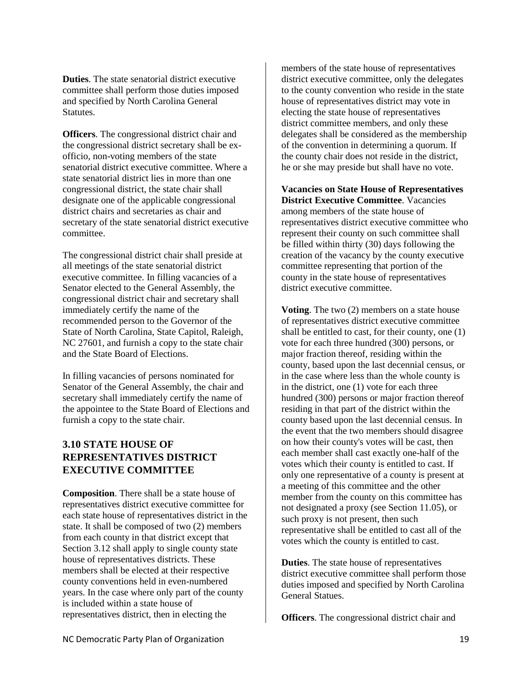<span id="page-24-0"></span>**Duties**. The state senatorial district executive committee shall perform those duties imposed and specified by North Carolina General Statutes.

<span id="page-24-1"></span>**Officers**. The congressional district chair and the congressional district secretary shall be exofficio, non-voting members of the state senatorial district executive committee. Where a state senatorial district lies in more than one congressional district, the state chair shall designate one of the applicable congressional district chairs and secretaries as chair and secretary of the state senatorial district executive committee.

The congressional district chair shall preside at all meetings of the state senatorial district executive committee. In filling vacancies of a Senator elected to the General Assembly, the congressional district chair and secretary shall immediately certify the name of the recommended person to the Governor of the State of North Carolina, State Capitol, Raleigh, NC 27601, and furnish a copy to the state chair and the State Board of Elections.

In filling vacancies of persons nominated for Senator of the General Assembly, the chair and secretary shall immediately certify the name of the appointee to the State Board of Elections and furnish a copy to the state chair.

## <span id="page-24-2"></span>**3.10 STATE HOUSE OF REPRESENTATIVES DISTRICT EXECUTIVE COMMITTEE**

<span id="page-24-3"></span>**Composition**. There shall be a state house of representatives district executive committee for each state house of representatives district in the state. It shall be composed of two (2) members from each county in that district except that Section 3.12 shall apply to single county state house of representatives districts. These members shall be elected at their respective county conventions held in even-numbered years. In the case where only part of the county is included within a state house of representatives district, then in electing the

members of the state house of representatives district executive committee, only the delegates to the county convention who reside in the state house of representatives district may vote in electing the state house of representatives district committee members, and only these delegates shall be considered as the membership of the convention in determining a quorum. If the county chair does not reside in the district, he or she may preside but shall have no vote.

<span id="page-24-4"></span>**Vacancies on State House of Representatives District Executive Committee**. Vacancies among members of the state house of representatives district executive committee who represent their county on such committee shall be filled within thirty (30) days following the creation of the vacancy by the county executive committee representing that portion of the county in the state house of representatives district executive committee.

<span id="page-24-5"></span>**Voting**. The two (2) members on a state house of representatives district executive committee shall be entitled to cast, for their county, one (1) vote for each three hundred (300) persons, or major fraction thereof, residing within the county, based upon the last decennial census, or in the case where less than the whole county is in the district, one (1) vote for each three hundred (300) persons or major fraction thereof residing in that part of the district within the county based upon the last decennial census. In the event that the two members should disagree on how their county's votes will be cast, then each member shall cast exactly one-half of the votes which their county is entitled to cast. If only one representative of a county is present at a meeting of this committee and the other member from the county on this committee has not designated a proxy (see Section 11.05), or such proxy is not present, then such representative shall be entitled to cast all of the votes which the county is entitled to cast.

<span id="page-24-6"></span>**Duties**. The state house of representatives district executive committee shall perform those duties imposed and specified by North Carolina General Statues.

<span id="page-24-7"></span>**Officers**. The congressional district chair and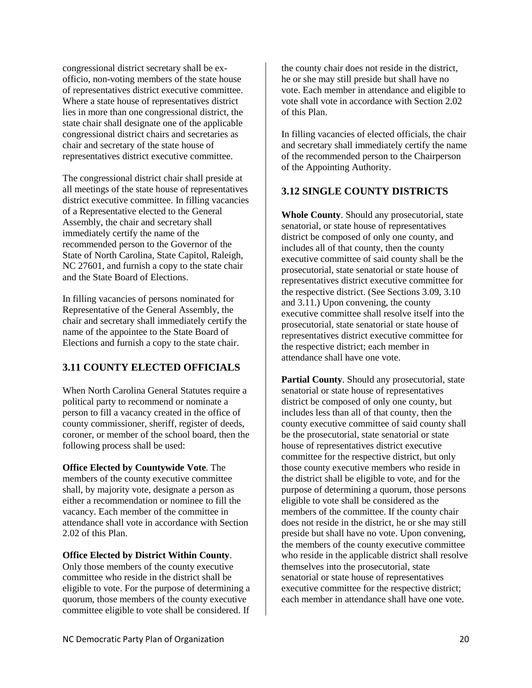congressional district secretary shall be exofficio, non-voting members of the state house of representatives district executive committee. Where a state house of representatives district lies in more than one congressional district, the state chair shall designate one of the applicable congressional district chairs and secretaries as chair and secretary of the state house of representatives district executive committee.

The congressional district chair shall preside at all meetings of the state house of representatives district executive committee. In filling vacancies of a Representative elected to the General Assembly, the chair and secretary shall immediately certify the name of the recommended person to the Governor of the State of North Carolina, State Capitol, Raleigh, NC 27601, and furnish a copy to the state chair and the State Board of Elections.

In filling vacancies of persons nominated for Representative of the General Assembly, the chair and secretary shall immediately certify the name of the appointee to the State Board of Elections and furnish a copy to the state chair.

#### <span id="page-25-0"></span>**3.11 COUNTY ELECTED OFFICIALS**

When North Carolina General Statutes require a political party to recommend or nominate a person to fill a vacancy created in the office of county commissioner, sheriff, register of deeds, coroner, or member of the school board, then the following process shall be used:

<span id="page-25-1"></span>**Office Elected by Countywide Vote**. The members of the county executive committee shall, by majority vote, designate a person as either a recommendation or nominee to fill the vacancy. Each member of the committee in attendance shall vote in accordance with Section 2.02 of this Plan.

#### <span id="page-25-2"></span>**Office Elected by District Within County**.

Only those members of the county executive committee who reside in the district shall be eligible to vote. For the purpose of determining a quorum, those members of the county executive committee eligible to vote shall be considered. If

the county chair does not reside in the district, he or she may still preside but shall have no vote. Each member in attendance and eligible to vote shall vote in accordance with Section 2.02 of this Plan.

In filling vacancies of elected officials, the chair and secretary shall immediately certify the name of the recommended person to the Chairperson of the Appointing Authority.

#### <span id="page-25-3"></span>**3.12 SINGLE COUNTY DISTRICTS**

<span id="page-25-4"></span>**Whole County**. Should any prosecutorial, state senatorial, or state house of representatives district be composed of only one county, and includes all of that county, then the county executive committee of said county shall be the prosecutorial, state senatorial or state house of representatives district executive committee for the respective district. (See Sections 3.09, 3.10 and 3.11.) Upon convening, the county executive committee shall resolve itself into the prosecutorial, state senatorial or state house of representatives district executive committee for the respective district; each member in attendance shall have one vote.

<span id="page-25-5"></span>**Partial County.** Should any prosecutorial, state senatorial or state house of representatives district be composed of only one county, but includes less than all of that county, then the county executive committee of said county shall be the prosecutorial, state senatorial or state house of representatives district executive committee for the respective district, but only those county executive members who reside in the district shall be eligible to vote, and for the purpose of determining a quorum, those persons eligible to vote shall be considered as the members of the committee. If the county chair does not reside in the district, he or she may still preside but shall have no vote. Upon convening, the members of the county executive committee who reside in the applicable district shall resolve themselves into the prosecutorial, state senatorial or state house of representatives executive committee for the respective district; each member in attendance shall have one vote.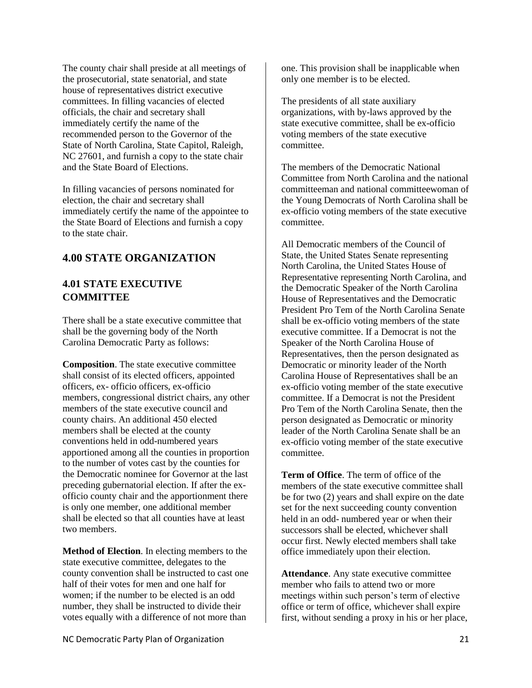The county chair shall preside at all meetings of the prosecutorial, state senatorial, and state house of representatives district executive committees. In filling vacancies of elected officials, the chair and secretary shall immediately certify the name of the recommended person to the Governor of the State of North Carolina, State Capitol, Raleigh, NC 27601, and furnish a copy to the state chair and the State Board of Elections.

In filling vacancies of persons nominated for election, the chair and secretary shall immediately certify the name of the appointee to the State Board of Elections and furnish a copy to the state chair.

#### <span id="page-26-0"></span>**4.00 STATE ORGANIZATION**

## <span id="page-26-1"></span>**4.01 STATE EXECUTIVE COMMITTEE**

There shall be a state executive committee that shall be the governing body of the North Carolina Democratic Party as follows:

<span id="page-26-2"></span>**Composition**. The state executive committee shall consist of its elected officers, appointed officers, ex- officio officers, ex-officio members, congressional district chairs, any other members of the state executive council and county chairs. An additional 450 elected members shall be elected at the county conventions held in odd-numbered years apportioned among all the counties in proportion to the number of votes cast by the counties for the Democratic nominee for Governor at the last preceding gubernatorial election. If after the exofficio county chair and the apportionment there is only one member, one additional member shall be elected so that all counties have at least two members.

<span id="page-26-3"></span>**Method of Election**. In electing members to the state executive committee, delegates to the county convention shall be instructed to cast one half of their votes for men and one half for women; if the number to be elected is an odd number, they shall be instructed to divide their votes equally with a difference of not more than

one. This provision shall be inapplicable when only one member is to be elected.

The presidents of all state auxiliary organizations, with by-laws approved by the state executive committee, shall be ex-officio voting members of the state executive committee.

The members of the Democratic National Committee from North Carolina and the national committeeman and national committeewoman of the Young Democrats of North Carolina shall be ex-officio voting members of the state executive committee.

All Democratic members of the Council of State, the United States Senate representing North Carolina, the United States House of Representative representing North Carolina, and the Democratic Speaker of the North Carolina House of Representatives and the Democratic President Pro Tem of the North Carolina Senate shall be ex-officio voting members of the state executive committee. If a Democrat is not the Speaker of the North Carolina House of Representatives, then the person designated as Democratic or minority leader of the North Carolina House of Representatives shall be an ex-officio voting member of the state executive committee. If a Democrat is not the President Pro Tem of the North Carolina Senate, then the person designated as Democratic or minority leader of the North Carolina Senate shall be an ex-officio voting member of the state executive committee.

<span id="page-26-4"></span>**Term of Office**. The term of office of the members of the state executive committee shall be for two (2) years and shall expire on the date set for the next succeeding county convention held in an odd- numbered year or when their successors shall be elected, whichever shall occur first. Newly elected members shall take office immediately upon their election.

<span id="page-26-5"></span>Attendance. Any state executive committee member who fails to attend two or more meetings within such person's term of elective office or term of office, whichever shall expire first, without sending a proxy in his or her place,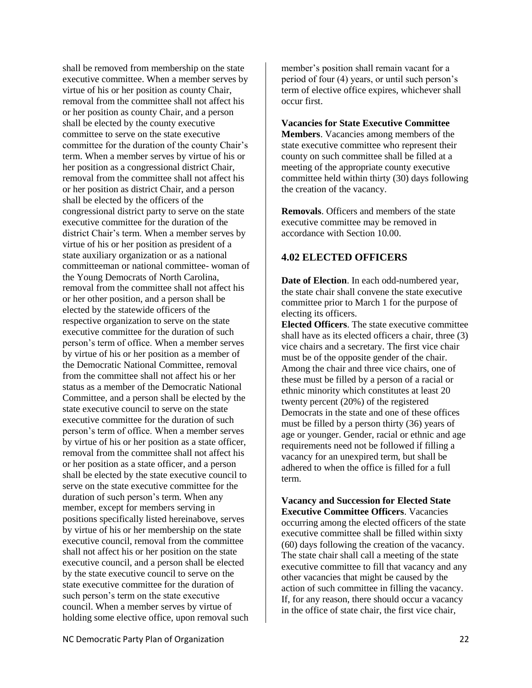shall be removed from membership on the state executive committee. When a member serves by virtue of his or her position as county Chair, removal from the committee shall not affect his or her position as county Chair, and a person shall be elected by the county executive committee to serve on the state executive committee for the duration of the county Chair's term. When a member serves by virtue of his or her position as a congressional district Chair, removal from the committee shall not affect his or her position as district Chair, and a person shall be elected by the officers of the congressional district party to serve on the state executive committee for the duration of the district Chair's term. When a member serves by virtue of his or her position as president of a state auxiliary organization or as a national committeeman or national committee- woman of the Young Democrats of North Carolina, removal from the committee shall not affect his or her other position, and a person shall be elected by the statewide officers of the respective organization to serve on the state executive committee for the duration of such person's term of office. When a member serves by virtue of his or her position as a member of the Democratic National Committee, removal from the committee shall not affect his or her status as a member of the Democratic National Committee, and a person shall be elected by the state executive council to serve on the state executive committee for the duration of such person's term of office. When a member serves by virtue of his or her position as a state officer, removal from the committee shall not affect his or her position as a state officer, and a person shall be elected by the state executive council to serve on the state executive committee for the duration of such person's term. When any member, except for members serving in positions specifically listed hereinabove, serves by virtue of his or her membership on the state executive council, removal from the committee shall not affect his or her position on the state executive council, and a person shall be elected by the state executive council to serve on the state executive committee for the duration of such person's term on the state executive council. When a member serves by virtue of holding some elective office, upon removal such

member's position shall remain vacant for a period of four (4) years, or until such person's term of elective office expires, whichever shall occur first.

<span id="page-27-0"></span>**Vacancies for State Executive Committee Members**. Vacancies among members of the state executive committee who represent their county on such committee shall be filled at a meeting of the appropriate county executive committee held within thirty (30) days following the creation of the vacancy.

<span id="page-27-1"></span>**Removals**. Officers and members of the state executive committee may be removed in accordance with Section 10.00.

#### <span id="page-27-2"></span>**4.02 ELECTED OFFICERS**

<span id="page-27-3"></span>**Date of Election**. In each odd-numbered year, the state chair shall convene the state executive committee prior to March 1 for the purpose of electing its officers.

<span id="page-27-4"></span>**Elected Officers**. The state executive committee shall have as its elected officers a chair, three (3) vice chairs and a secretary. The first vice chair must be of the opposite gender of the chair. Among the chair and three vice chairs, one of these must be filled by a person of a racial or ethnic minority which constitutes at least 20 twenty percent (20%) of the registered Democrats in the state and one of these offices must be filled by a person thirty (36) years of age or younger. Gender, racial or ethnic and age requirements need not be followed if filling a vacancy for an unexpired term, but shall be adhered to when the office is filled for a full term.

<span id="page-27-5"></span>**Vacancy and Succession for Elected State Executive Committee Officers**. Vacancies occurring among the elected officers of the state executive committee shall be filled within sixty (60) days following the creation of the vacancy. The state chair shall call a meeting of the state executive committee to fill that vacancy and any other vacancies that might be caused by the action of such committee in filling the vacancy. If, for any reason, there should occur a vacancy in the office of state chair, the first vice chair,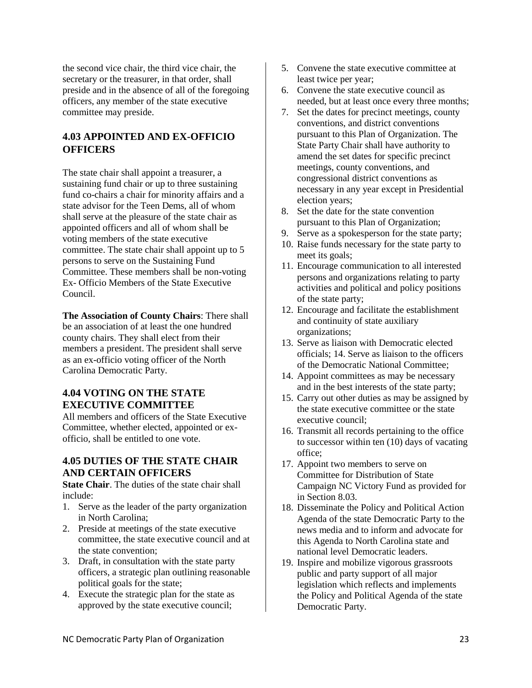the second vice chair, the third vice chair, the secretary or the treasurer, in that order, shall preside and in the absence of all of the foregoing officers, any member of the state executive committee may preside.

## <span id="page-28-0"></span>**4.03 APPOINTED AND EX-OFFICIO OFFICERS**

The state chair shall appoint a treasurer, a sustaining fund chair or up to three sustaining fund co-chairs a chair for minority affairs and a state advisor for the Teen Dems, all of whom shall serve at the pleasure of the state chair as appointed officers and all of whom shall be voting members of the state executive committee. The state chair shall appoint up to 5 persons to serve on the Sustaining Fund Committee. These members shall be non-voting Ex- Officio Members of the State Executive Council.

<span id="page-28-1"></span>**The Association of County Chairs**: There shall be an association of at least the one hundred county chairs. They shall elect from their members a president. The president shall serve as an ex-officio voting officer of the North Carolina Democratic Party.

#### <span id="page-28-2"></span>**4.04 VOTING ON THE STATE EXECUTIVE COMMITTEE**

All members and officers of the State Executive Committee, whether elected, appointed or exofficio, shall be entitled to one vote.

#### <span id="page-28-3"></span>**4.05 DUTIES OF THE STATE CHAIR AND CERTAIN OFFICERS**

<span id="page-28-4"></span>**State Chair**. The duties of the state chair shall include:

- 1. Serve as the leader of the party organization in North Carolina;
- 2. Preside at meetings of the state executive committee, the state executive council and at the state convention;
- 3. Draft, in consultation with the state party officers, a strategic plan outlining reasonable political goals for the state;
- 4. Execute the strategic plan for the state as approved by the state executive council;
- 5. Convene the state executive committee at least twice per year;
- 6. Convene the state executive council as needed, but at least once every three months;
- 7. Set the dates for precinct meetings, county conventions, and district conventions pursuant to this Plan of Organization. The State Party Chair shall have authority to amend the set dates for specific precinct meetings, county conventions, and congressional district conventions as necessary in any year except in Presidential election years;
- 8. Set the date for the state convention pursuant to this Plan of Organization;
- 9. Serve as a spokesperson for the state party;
- 10. Raise funds necessary for the state party to meet its goals;
- 11. Encourage communication to all interested persons and organizations relating to party activities and political and policy positions of the state party;
- 12. Encourage and facilitate the establishment and continuity of state auxiliary organizations;
- 13. Serve as liaison with Democratic elected officials; 14. Serve as liaison to the officers of the Democratic National Committee;
- 14. Appoint committees as may be necessary and in the best interests of the state party;
- 15. Carry out other duties as may be assigned by the state executive committee or the state executive council;
- 16. Transmit all records pertaining to the office to successor within ten (10) days of vacating office;
- 17. Appoint two members to serve on Committee for Distribution of State Campaign NC Victory Fund as provided for in Section 8.03.
- 18. Disseminate the Policy and Political Action Agenda of the state Democratic Party to the news media and to inform and advocate for this Agenda to North Carolina state and national level Democratic leaders.
- 19. Inspire and mobilize vigorous grassroots public and party support of all major legislation which reflects and implements the Policy and Political Agenda of the state Democratic Party.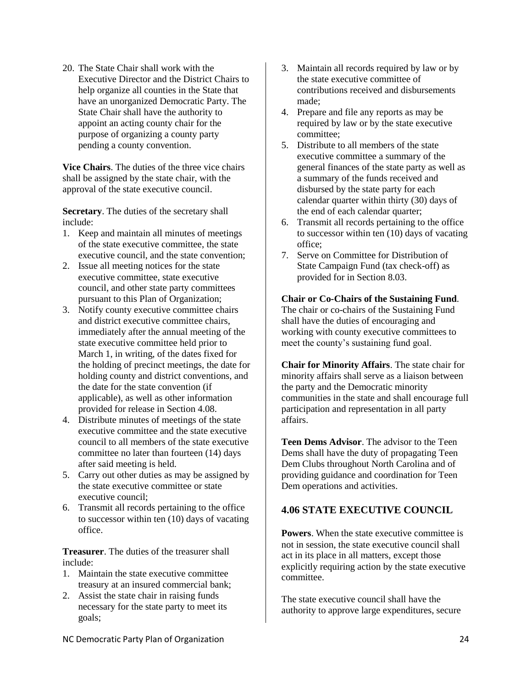20. The State Chair shall work with the Executive Director and the District Chairs to help organize all counties in the State that have an unorganized Democratic Party. The State Chair shall have the authority to appoint an acting county chair for the purpose of organizing a county party pending a county convention.

<span id="page-29-0"></span>**Vice Chairs**. The duties of the three vice chairs shall be assigned by the state chair, with the approval of the state executive council.

<span id="page-29-1"></span>**Secretary**. The duties of the secretary shall include:

- 1. Keep and maintain all minutes of meetings of the state executive committee, the state executive council, and the state convention;
- 2. Issue all meeting notices for the state executive committee, state executive council, and other state party committees pursuant to this Plan of Organization;
- 3. Notify county executive committee chairs and district executive committee chairs, immediately after the annual meeting of the state executive committee held prior to March 1, in writing, of the dates fixed for the holding of precinct meetings, the date for holding county and district conventions, and the date for the state convention (if applicable), as well as other information provided for release in Section 4.08.
- 4. Distribute minutes of meetings of the state executive committee and the state executive council to all members of the state executive committee no later than fourteen (14) days after said meeting is held.
- 5. Carry out other duties as may be assigned by the state executive committee or state executive council;
- 6. Transmit all records pertaining to the office to successor within ten (10) days of vacating office.

<span id="page-29-2"></span>**Treasurer**. The duties of the treasurer shall include:

- 1. Maintain the state executive committee treasury at an insured commercial bank;
- 2. Assist the state chair in raising funds necessary for the state party to meet its goals;
- 3. Maintain all records required by law or by the state executive committee of contributions received and disbursements made;
- 4. Prepare and file any reports as may be required by law or by the state executive committee;
- 5. Distribute to all members of the state executive committee a summary of the general finances of the state party as well as a summary of the funds received and disbursed by the state party for each calendar quarter within thirty (30) days of the end of each calendar quarter;
- 6. Transmit all records pertaining to the office to successor within ten (10) days of vacating office;
- 7. Serve on Committee for Distribution of State Campaign Fund (tax check-off) as provided for in Section 8.03.

<span id="page-29-3"></span>**Chair or Co-Chairs of the Sustaining Fund**. The chair or co-chairs of the Sustaining Fund shall have the duties of encouraging and working with county executive committees to

meet the county's sustaining fund goal.

<span id="page-29-4"></span>**Chair for Minority Affairs**. The state chair for minority affairs shall serve as a liaison between the party and the Democratic minority communities in the state and shall encourage full participation and representation in all party affairs.

<span id="page-29-5"></span>**Teen Dems Advisor**. The advisor to the Teen Dems shall have the duty of propagating Teen Dem Clubs throughout North Carolina and of providing guidance and coordination for Teen Dem operations and activities.

#### <span id="page-29-6"></span>**4.06 STATE EXECUTIVE COUNCIL**

<span id="page-29-7"></span>**Powers**. When the state executive committee is not in session, the state executive council shall act in its place in all matters, except those explicitly requiring action by the state executive committee.

The state executive council shall have the authority to approve large expenditures, secure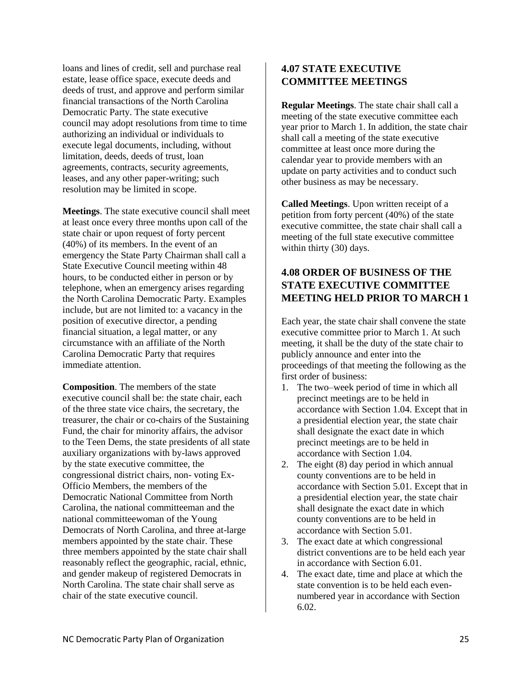loans and lines of credit, sell and purchase real estate, lease office space, execute deeds and deeds of trust, and approve and perform similar financial transactions of the North Carolina Democratic Party. The state executive council may adopt resolutions from time to time authorizing an individual or individuals to execute legal documents, including, without limitation, deeds, deeds of trust, loan agreements, contracts, security agreements, leases, and any other paper-writing; such resolution may be limited in scope.

<span id="page-30-0"></span>**Meetings**. The state executive council shall meet at least once every three months upon call of the state chair or upon request of forty percent (40%) of its members. In the event of an emergency the State Party Chairman shall call a State Executive Council meeting within 48 hours, to be conducted either in person or by telephone, when an emergency arises regarding the North Carolina Democratic Party. Examples include, but are not limited to: a vacancy in the position of executive director, a pending financial situation, a legal matter, or any circumstance with an affiliate of the North Carolina Democratic Party that requires immediate attention.

<span id="page-30-1"></span>**Composition**. The members of the state executive council shall be: the state chair, each of the three state vice chairs, the secretary, the treasurer, the chair or co-chairs of the Sustaining Fund, the chair for minority affairs, the advisor to the Teen Dems, the state presidents of all state auxiliary organizations with by-laws approved by the state executive committee, the congressional district chairs, non- voting Ex-Officio Members, the members of the Democratic National Committee from North Carolina, the national committeeman and the national committeewoman of the Young Democrats of North Carolina, and three at-large members appointed by the state chair. These three members appointed by the state chair shall reasonably reflect the geographic, racial, ethnic, and gender makeup of registered Democrats in North Carolina. The state chair shall serve as chair of the state executive council.

#### <span id="page-30-2"></span>**4.07 STATE EXECUTIVE COMMITTEE MEETINGS**

<span id="page-30-3"></span>**Regular Meetings**. The state chair shall call a meeting of the state executive committee each year prior to March 1. In addition, the state chair shall call a meeting of the state executive committee at least once more during the calendar year to provide members with an update on party activities and to conduct such other business as may be necessary.

<span id="page-30-4"></span>**Called Meetings**. Upon written receipt of a petition from forty percent (40%) of the state executive committee, the state chair shall call a meeting of the full state executive committee within thirty (30) days.

#### <span id="page-30-5"></span>**4.08 ORDER OF BUSINESS OF THE STATE EXECUTIVE COMMITTEE MEETING HELD PRIOR TO MARCH 1**

Each year, the state chair shall convene the state executive committee prior to March 1. At such meeting, it shall be the duty of the state chair to publicly announce and enter into the proceedings of that meeting the following as the first order of business:

- 1. The two–week period of time in which all precinct meetings are to be held in accordance with Section 1.04. Except that in a presidential election year, the state chair shall designate the exact date in which precinct meetings are to be held in accordance with Section 1.04.
- 2. The eight (8) day period in which annual county conventions are to be held in accordance with Section 5.01. Except that in a presidential election year, the state chair shall designate the exact date in which county conventions are to be held in accordance with Section 5.01.
- 3. The exact date at which congressional district conventions are to be held each year in accordance with Section 6.01.
- 4. The exact date, time and place at which the state convention is to be held each evennumbered year in accordance with Section 6.02.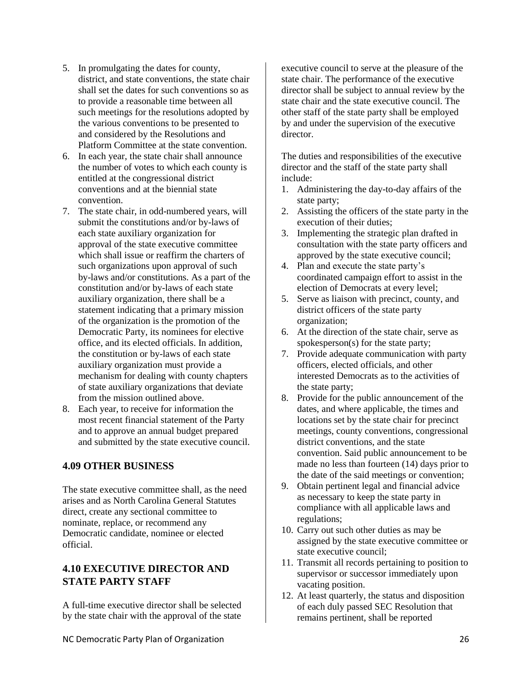- 5. In promulgating the dates for county, district, and state conventions, the state chair shall set the dates for such conventions so as to provide a reasonable time between all such meetings for the resolutions adopted by the various conventions to be presented to and considered by the Resolutions and Platform Committee at the state convention.
- 6. In each year, the state chair shall announce the number of votes to which each county is entitled at the congressional district conventions and at the biennial state convention.
- 7. The state chair, in odd-numbered years, will submit the constitutions and/or by-laws of each state auxiliary organization for approval of the state executive committee which shall issue or reaffirm the charters of such organizations upon approval of such by-laws and/or constitutions. As a part of the constitution and/or by-laws of each state auxiliary organization, there shall be a statement indicating that a primary mission of the organization is the promotion of the Democratic Party, its nominees for elective office, and its elected officials. In addition, the constitution or by-laws of each state auxiliary organization must provide a mechanism for dealing with county chapters of state auxiliary organizations that deviate from the mission outlined above.
- 8. Each year, to receive for information the most recent financial statement of the Party and to approve an annual budget prepared and submitted by the state executive council.

#### <span id="page-31-0"></span>**4.09 OTHER BUSINESS**

The state executive committee shall, as the need arises and as North Carolina General Statutes direct, create any sectional committee to nominate, replace, or recommend any Democratic candidate, nominee or elected official.

#### <span id="page-31-1"></span>**4.10 EXECUTIVE DIRECTOR AND STATE PARTY STAFF**

A full-time executive director shall be selected by the state chair with the approval of the state

executive council to serve at the pleasure of the state chair. The performance of the executive director shall be subject to annual review by the state chair and the state executive council. The other staff of the state party shall be employed by and under the supervision of the executive director.

The duties and responsibilities of the executive director and the staff of the state party shall include:

- 1. Administering the day-to-day affairs of the state party;
- 2. Assisting the officers of the state party in the execution of their duties;
- 3. Implementing the strategic plan drafted in consultation with the state party officers and approved by the state executive council;
- 4. Plan and execute the state party's coordinated campaign effort to assist in the election of Democrats at every level;
- 5. Serve as liaison with precinct, county, and district officers of the state party organization;
- 6. At the direction of the state chair, serve as spokesperson(s) for the state party;
- 7. Provide adequate communication with party officers, elected officials, and other interested Democrats as to the activities of the state party;
- 8. Provide for the public announcement of the dates, and where applicable, the times and locations set by the state chair for precinct meetings, county conventions, congressional district conventions, and the state convention. Said public announcement to be made no less than fourteen (14) days prior to the date of the said meetings or convention;
- 9. Obtain pertinent legal and financial advice as necessary to keep the state party in compliance with all applicable laws and regulations;
- 10. Carry out such other duties as may be assigned by the state executive committee or state executive council;
- 11. Transmit all records pertaining to position to supervisor or successor immediately upon vacating position.
- 12. At least quarterly, the status and disposition of each duly passed SEC Resolution that remains pertinent, shall be reported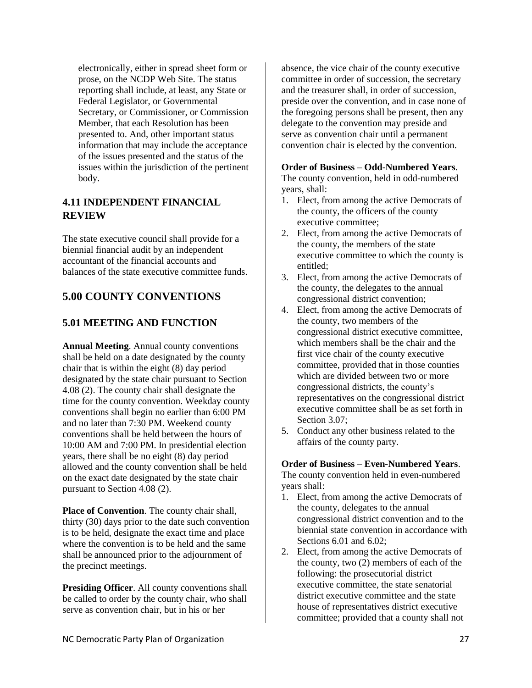electronically, either in spread sheet form or prose, on the NCDP Web Site. The status reporting shall include, at least, any State or Federal Legislator, or Governmental Secretary, or Commissioner, or Commission Member, that each Resolution has been presented to. And, other important status information that may include the acceptance of the issues presented and the status of the issues within the jurisdiction of the pertinent body.

#### <span id="page-32-0"></span>**4.11 INDEPENDENT FINANCIAL REVIEW**

The state executive council shall provide for a biennial financial audit by an independent accountant of the financial accounts and balances of the state executive committee funds.

## <span id="page-32-1"></span>**5.00 COUNTY CONVENTIONS**

## <span id="page-32-2"></span>**5.01 MEETING AND FUNCTION**

<span id="page-32-3"></span>**Annual Meeting**. Annual county conventions shall be held on a date designated by the county chair that is within the eight (8) day period designated by the state chair pursuant to Section 4.08 (2). The county chair shall designate the time for the county convention. Weekday county conventions shall begin no earlier than 6:00 PM and no later than 7:30 PM. Weekend county conventions shall be held between the hours of 10:00 AM and 7:00 PM. In presidential election years, there shall be no eight (8) day period allowed and the county convention shall be held on the exact date designated by the state chair pursuant to Section 4.08 (2).

<span id="page-32-4"></span>**Place of Convention**. The county chair shall, thirty (30) days prior to the date such convention is to be held, designate the exact time and place where the convention is to be held and the same shall be announced prior to the adjournment of the precinct meetings.

<span id="page-32-5"></span>**Presiding Officer**. All county conventions shall be called to order by the county chair, who shall serve as convention chair, but in his or her

absence, the vice chair of the county executive committee in order of succession, the secretary and the treasurer shall, in order of succession, preside over the convention, and in case none of the foregoing persons shall be present, then any delegate to the convention may preside and serve as convention chair until a permanent convention chair is elected by the convention.

#### <span id="page-32-6"></span>**Order of Business – Odd-Numbered Years**.

The county convention, held in odd-numbered years, shall:

- 1. Elect, from among the active Democrats of the county, the officers of the county executive committee;
- 2. Elect, from among the active Democrats of the county, the members of the state executive committee to which the county is entitled;
- 3. Elect, from among the active Democrats of the county, the delegates to the annual congressional district convention;
- 4. Elect, from among the active Democrats of the county, two members of the congressional district executive committee, which members shall be the chair and the first vice chair of the county executive committee, provided that in those counties which are divided between two or more congressional districts, the county's representatives on the congressional district executive committee shall be as set forth in Section 3.07;
- 5. Conduct any other business related to the affairs of the county party.

<span id="page-32-7"></span>**Order of Business – Even-Numbered Years**. The county convention held in even-numbered years shall:

- 1. Elect, from among the active Democrats of the county, delegates to the annual congressional district convention and to the biennial state convention in accordance with Sections 6.01 and 6.02;
- 2. Elect, from among the active Democrats of the county, two (2) members of each of the following: the prosecutorial district executive committee, the state senatorial district executive committee and the state house of representatives district executive committee; provided that a county shall not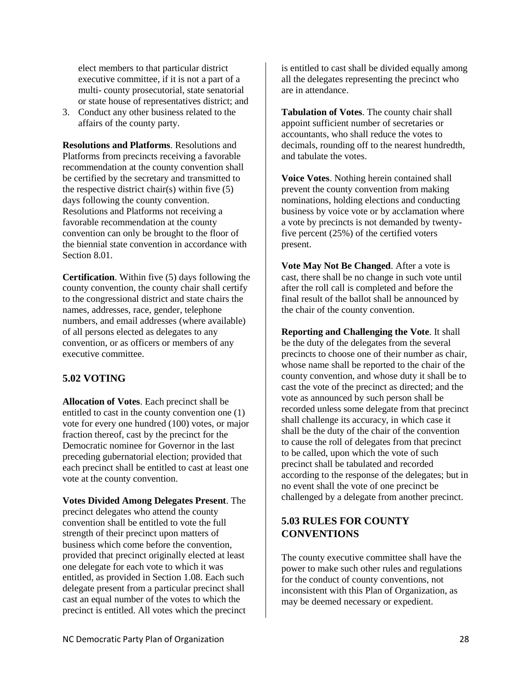elect members to that particular district executive committee, if it is not a part of a multi- county prosecutorial, state senatorial or state house of representatives district; and

3. Conduct any other business related to the affairs of the county party.

<span id="page-33-0"></span>**Resolutions and Platforms**. Resolutions and Platforms from precincts receiving a favorable recommendation at the county convention shall be certified by the secretary and transmitted to the respective district chair(s) within five  $(5)$ days following the county convention. Resolutions and Platforms not receiving a favorable recommendation at the county convention can only be brought to the floor of the biennial state convention in accordance with Section 8.01.

<span id="page-33-1"></span>**Certification**. Within five (5) days following the county convention, the county chair shall certify to the congressional district and state chairs the names, addresses, race, gender, telephone numbers, and email addresses (where available) of all persons elected as delegates to any convention, or as officers or members of any executive committee.

#### <span id="page-33-2"></span>**5.02 VOTING**

<span id="page-33-3"></span>**Allocation of Votes**. Each precinct shall be entitled to cast in the county convention one (1) vote for every one hundred (100) votes, or major fraction thereof, cast by the precinct for the Democratic nominee for Governor in the last preceding gubernatorial election; provided that each precinct shall be entitled to cast at least one vote at the county convention.

<span id="page-33-4"></span>**Votes Divided Among Delegates Present**. The precinct delegates who attend the county convention shall be entitled to vote the full strength of their precinct upon matters of business which come before the convention, provided that precinct originally elected at least one delegate for each vote to which it was entitled, as provided in Section 1.08. Each such delegate present from a particular precinct shall cast an equal number of the votes to which the precinct is entitled. All votes which the precinct is entitled to cast shall be divided equally among all the delegates representing the precinct who are in attendance.

<span id="page-33-5"></span>**Tabulation of Votes**. The county chair shall appoint sufficient number of secretaries or accountants, who shall reduce the votes to decimals, rounding off to the nearest hundredth, and tabulate the votes.

<span id="page-33-6"></span>**Voice Votes**. Nothing herein contained shall prevent the county convention from making nominations, holding elections and conducting business by voice vote or by acclamation where a vote by precincts is not demanded by twentyfive percent (25%) of the certified voters present.

<span id="page-33-7"></span>**Vote May Not Be Changed**. After a vote is cast, there shall be no change in such vote until after the roll call is completed and before the final result of the ballot shall be announced by the chair of the county convention.

<span id="page-33-8"></span>**Reporting and Challenging the Vote**. It shall be the duty of the delegates from the several precincts to choose one of their number as chair, whose name shall be reported to the chair of the county convention, and whose duty it shall be to cast the vote of the precinct as directed; and the vote as announced by such person shall be recorded unless some delegate from that precinct shall challenge its accuracy, in which case it shall be the duty of the chair of the convention to cause the roll of delegates from that precinct to be called, upon which the vote of such precinct shall be tabulated and recorded according to the response of the delegates; but in no event shall the vote of one precinct be challenged by a delegate from another precinct.

## <span id="page-33-9"></span>**5.03 RULES FOR COUNTY CONVENTIONS**

The county executive committee shall have the power to make such other rules and regulations for the conduct of county conventions, not inconsistent with this Plan of Organization, as may be deemed necessary or expedient.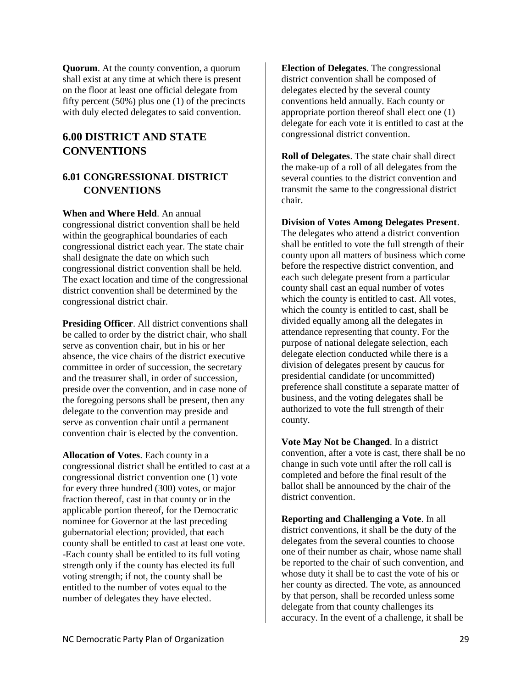<span id="page-34-0"></span>**Quorum**. At the county convention, a quorum shall exist at any time at which there is present on the floor at least one official delegate from fifty percent (50%) plus one (1) of the precincts with duly elected delegates to said convention.

## <span id="page-34-1"></span>**6.00 DISTRICT AND STATE CONVENTIONS**

#### <span id="page-34-2"></span>**6.01 CONGRESSIONAL DISTRICT CONVENTIONS**

<span id="page-34-3"></span>**When and Where Held**. An annual congressional district convention shall be held within the geographical boundaries of each congressional district each year. The state chair shall designate the date on which such congressional district convention shall be held. The exact location and time of the congressional district convention shall be determined by the congressional district chair.

<span id="page-34-4"></span>**Presiding Officer**. All district conventions shall be called to order by the district chair, who shall serve as convention chair, but in his or her absence, the vice chairs of the district executive committee in order of succession, the secretary and the treasurer shall, in order of succession, preside over the convention, and in case none of the foregoing persons shall be present, then any delegate to the convention may preside and serve as convention chair until a permanent convention chair is elected by the convention.

<span id="page-34-5"></span>**Allocation of Votes**. Each county in a congressional district shall be entitled to cast at a congressional district convention one (1) vote for every three hundred (300) votes, or major fraction thereof, cast in that county or in the applicable portion thereof, for the Democratic nominee for Governor at the last preceding gubernatorial election; provided, that each county shall be entitled to cast at least one vote. -Each county shall be entitled to its full voting strength only if the county has elected its full voting strength; if not, the county shall be entitled to the number of votes equal to the number of delegates they have elected.

<span id="page-34-6"></span>**Election of Delegates**. The congressional district convention shall be composed of delegates elected by the several county conventions held annually. Each county or appropriate portion thereof shall elect one (1) delegate for each vote it is entitled to cast at the congressional district convention.

<span id="page-34-7"></span>**Roll of Delegates**. The state chair shall direct the make-up of a roll of all delegates from the several counties to the district convention and transmit the same to the congressional district chair.

<span id="page-34-8"></span>**Division of Votes Among Delegates Present**. The delegates who attend a district convention shall be entitled to vote the full strength of their county upon all matters of business which come before the respective district convention, and each such delegate present from a particular county shall cast an equal number of votes which the county is entitled to cast. All votes, which the county is entitled to cast, shall be divided equally among all the delegates in attendance representing that county. For the purpose of national delegate selection, each delegate election conducted while there is a division of delegates present by caucus for presidential candidate (or uncommitted) preference shall constitute a separate matter of business, and the voting delegates shall be authorized to vote the full strength of their county.

<span id="page-34-9"></span>**Vote May Not be Changed**. In a district convention, after a vote is cast, there shall be no change in such vote until after the roll call is completed and before the final result of the ballot shall be announced by the chair of the district convention.

<span id="page-34-10"></span>**Reporting and Challenging a Vote**. In all district conventions, it shall be the duty of the delegates from the several counties to choose one of their number as chair, whose name shall be reported to the chair of such convention, and whose duty it shall be to cast the vote of his or her county as directed. The vote, as announced by that person, shall be recorded unless some delegate from that county challenges its accuracy. In the event of a challenge, it shall be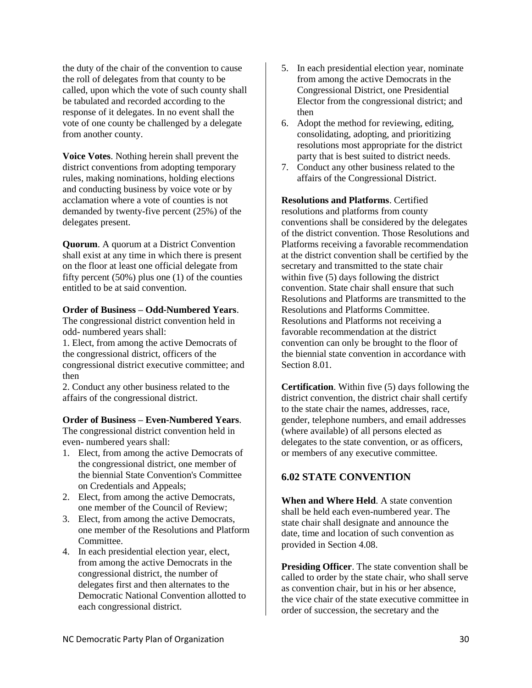the duty of the chair of the convention to cause the roll of delegates from that county to be called, upon which the vote of such county shall be tabulated and recorded according to the response of it delegates. In no event shall the vote of one county be challenged by a delegate from another county.

<span id="page-35-0"></span>**Voice Votes**. Nothing herein shall prevent the district conventions from adopting temporary rules, making nominations, holding elections and conducting business by voice vote or by acclamation where a vote of counties is not demanded by twenty-five percent (25%) of the delegates present.

<span id="page-35-1"></span>**Quorum**. A quorum at a District Convention shall exist at any time in which there is present on the floor at least one official delegate from fifty percent (50%) plus one (1) of the counties entitled to be at said convention.

#### <span id="page-35-2"></span>**Order of Business – Odd-Numbered Years**.

The congressional district convention held in odd- numbered years shall:

1. Elect, from among the active Democrats of the congressional district, officers of the congressional district executive committee; and then

2. Conduct any other business related to the affairs of the congressional district.

#### <span id="page-35-3"></span>**Order of Business – Even-Numbered Years**.

The congressional district convention held in even- numbered years shall:

- 1. Elect, from among the active Democrats of the congressional district, one member of the biennial State Convention's Committee on Credentials and Appeals;
- 2. Elect, from among the active Democrats, one member of the Council of Review;
- 3. Elect, from among the active Democrats, one member of the Resolutions and Platform Committee.
- 4. In each presidential election year, elect, from among the active Democrats in the congressional district, the number of delegates first and then alternates to the Democratic National Convention allotted to each congressional district.
- 5. In each presidential election year, nominate from among the active Democrats in the Congressional District, one Presidential Elector from the congressional district; and then
- 6. Adopt the method for reviewing, editing, consolidating, adopting, and prioritizing resolutions most appropriate for the district party that is best suited to district needs.
- 7. Conduct any other business related to the affairs of the Congressional District.

<span id="page-35-4"></span>**Resolutions and Platforms**. Certified resolutions and platforms from county conventions shall be considered by the delegates of the district convention. Those Resolutions and Platforms receiving a favorable recommendation at the district convention shall be certified by the secretary and transmitted to the state chair within five (5) days following the district convention. State chair shall ensure that such Resolutions and Platforms are transmitted to the Resolutions and Platforms Committee. Resolutions and Platforms not receiving a favorable recommendation at the district convention can only be brought to the floor of the biennial state convention in accordance with Section 8.01.

**Certification**. Within five (5) days following the district convention, the district chair shall certify to the state chair the names, addresses, race, gender, telephone numbers, and email addresses (where available) of all persons elected as delegates to the state convention, or as officers, or members of any executive committee.

#### <span id="page-35-5"></span>**6.02 STATE CONVENTION**

<span id="page-35-6"></span>**When and Where Held**. A state convention shall be held each even-numbered year. The state chair shall designate and announce the date, time and location of such convention as provided in Section 4.08.

<span id="page-35-7"></span>**Presiding Officer**. The state convention shall be called to order by the state chair, who shall serve as convention chair, but in his or her absence, the vice chair of the state executive committee in order of succession, the secretary and the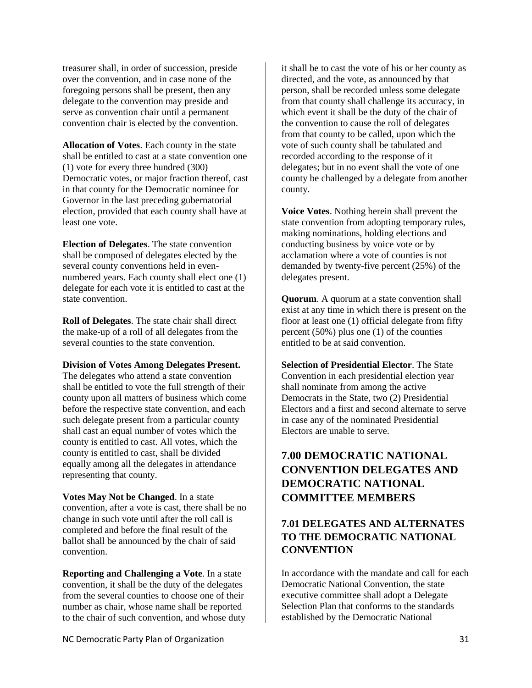treasurer shall, in order of succession, preside over the convention, and in case none of the foregoing persons shall be present, then any delegate to the convention may preside and serve as convention chair until a permanent convention chair is elected by the convention.

<span id="page-36-0"></span>**Allocation of Votes**. Each county in the state shall be entitled to cast at a state convention one (1) vote for every three hundred (300) Democratic votes, or major fraction thereof, cast in that county for the Democratic nominee for Governor in the last preceding gubernatorial election, provided that each county shall have at least one vote.

<span id="page-36-1"></span>**Election of Delegates**. The state convention shall be composed of delegates elected by the several county conventions held in evennumbered years. Each county shall elect one (1) delegate for each vote it is entitled to cast at the state convention.

<span id="page-36-2"></span>**Roll of Delegates**. The state chair shall direct the make-up of a roll of all delegates from the several counties to the state convention.

#### <span id="page-36-3"></span>**Division of Votes Among Delegates Present.**

The delegates who attend a state convention shall be entitled to vote the full strength of their county upon all matters of business which come before the respective state convention, and each such delegate present from a particular county shall cast an equal number of votes which the county is entitled to cast. All votes, which the county is entitled to cast, shall be divided equally among all the delegates in attendance representing that county.

<span id="page-36-4"></span>**Votes May Not be Changed**. In a state convention, after a vote is cast, there shall be no change in such vote until after the roll call is completed and before the final result of the ballot shall be announced by the chair of said convention.

<span id="page-36-5"></span>**Reporting and Challenging a Vote**. In a state convention, it shall be the duty of the delegates from the several counties to choose one of their number as chair, whose name shall be reported to the chair of such convention, and whose duty it shall be to cast the vote of his or her county as directed, and the vote, as announced by that person, shall be recorded unless some delegate from that county shall challenge its accuracy, in which event it shall be the duty of the chair of the convention to cause the roll of delegates from that county to be called, upon which the vote of such county shall be tabulated and recorded according to the response of it delegates; but in no event shall the vote of one county be challenged by a delegate from another county.

<span id="page-36-6"></span>**Voice Votes**. Nothing herein shall prevent the state convention from adopting temporary rules, making nominations, holding elections and conducting business by voice vote or by acclamation where a vote of counties is not demanded by twenty-five percent (25%) of the delegates present.

<span id="page-36-7"></span>**Quorum**. A quorum at a state convention shall exist at any time in which there is present on the floor at least one (1) official delegate from fifty percent (50%) plus one (1) of the counties entitled to be at said convention.

<span id="page-36-8"></span>**Selection of Presidential Elector**. The State Convention in each presidential election year shall nominate from among the active Democrats in the State, two (2) Presidential Electors and a first and second alternate to serve in case any of the nominated Presidential Electors are unable to serve.

## <span id="page-36-9"></span>**7.00 DEMOCRATIC NATIONAL CONVENTION DELEGATES AND DEMOCRATIC NATIONAL COMMITTEE MEMBERS**

## <span id="page-36-10"></span>**7.01 DELEGATES AND ALTERNATES TO THE DEMOCRATIC NATIONAL CONVENTION**

In accordance with the mandate and call for each Democratic National Convention, the state executive committee shall adopt a Delegate Selection Plan that conforms to the standards established by the Democratic National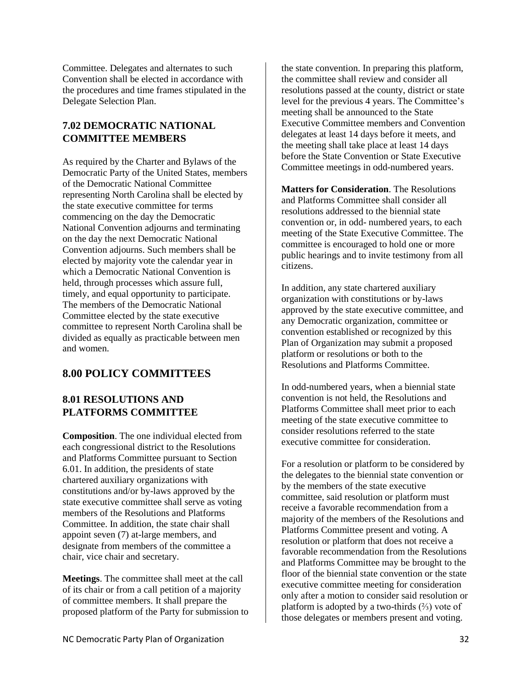Committee. Delegates and alternates to such Convention shall be elected in accordance with the procedures and time frames stipulated in the Delegate Selection Plan.

#### <span id="page-37-0"></span>**7.02 DEMOCRATIC NATIONAL COMMITTEE MEMBERS**

As required by the Charter and Bylaws of the Democratic Party of the United States, members of the Democratic National Committee representing North Carolina shall be elected by the state executive committee for terms commencing on the day the Democratic National Convention adjourns and terminating on the day the next Democratic National Convention adjourns. Such members shall be elected by majority vote the calendar year in which a Democratic National Convention is held, through processes which assure full, timely, and equal opportunity to participate. The members of the Democratic National Committee elected by the state executive committee to represent North Carolina shall be divided as equally as practicable between men and women.

## <span id="page-37-1"></span>**8.00 POLICY COMMITTEES**

#### <span id="page-37-2"></span>**8.01 RESOLUTIONS AND PLATFORMS COMMITTEE**

<span id="page-37-3"></span>**Composition**. The one individual elected from each congressional district to the Resolutions and Platforms Committee pursuant to Section 6.01. In addition, the presidents of state chartered auxiliary organizations with constitutions and/or by-laws approved by the state executive committee shall serve as voting members of the Resolutions and Platforms Committee. In addition, the state chair shall appoint seven (7) at-large members, and designate from members of the committee a chair, vice chair and secretary.

<span id="page-37-4"></span>**Meetings**. The committee shall meet at the call of its chair or from a call petition of a majority of committee members. It shall prepare the proposed platform of the Party for submission to

the state convention. In preparing this platform, the committee shall review and consider all resolutions passed at the county, district or state level for the previous 4 years. The Committee's meeting shall be announced to the State Executive Committee members and Convention delegates at least 14 days before it meets, and the meeting shall take place at least 14 days before the State Convention or State Executive Committee meetings in odd-numbered years.

<span id="page-37-5"></span>**Matters for Consideration**. The Resolutions and Platforms Committee shall consider all resolutions addressed to the biennial state convention or, in odd- numbered years, to each meeting of the State Executive Committee. The committee is encouraged to hold one or more public hearings and to invite testimony from all citizens.

In addition, any state chartered auxiliary organization with constitutions or by-laws approved by the state executive committee, and any Democratic organization, committee or convention established or recognized by this Plan of Organization may submit a proposed platform or resolutions or both to the Resolutions and Platforms Committee.

In odd-numbered years, when a biennial state convention is not held, the Resolutions and Platforms Committee shall meet prior to each meeting of the state executive committee to consider resolutions referred to the state executive committee for consideration.

For a resolution or platform to be considered by the delegates to the biennial state convention or by the members of the state executive committee, said resolution or platform must receive a favorable recommendation from a majority of the members of the Resolutions and Platforms Committee present and voting. A resolution or platform that does not receive a favorable recommendation from the Resolutions and Platforms Committee may be brought to the floor of the biennial state convention or the state executive committee meeting for consideration only after a motion to consider said resolution or platform is adopted by a two-thirds  $(\frac{2}{3})$  vote of those delegates or members present and voting.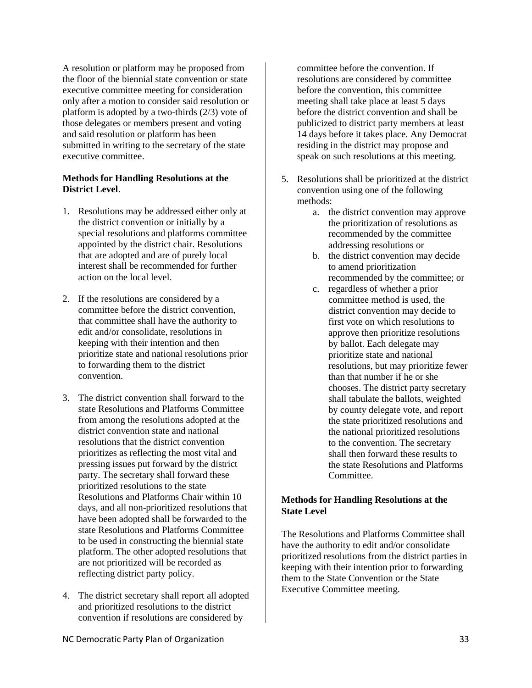A resolution or platform may be proposed from the floor of the biennial state convention or state executive committee meeting for consideration only after a motion to consider said resolution or platform is adopted by a two-thirds (2/3) vote of those delegates or members present and voting and said resolution or platform has been submitted in writing to the secretary of the state executive committee.

#### <span id="page-38-0"></span>**Methods for Handling Resolutions at the District Level**.

- 1. Resolutions may be addressed either only at the district convention or initially by a special resolutions and platforms committee appointed by the district chair. Resolutions that are adopted and are of purely local interest shall be recommended for further action on the local level.
- 2. If the resolutions are considered by a committee before the district convention, that committee shall have the authority to edit and/or consolidate, resolutions in keeping with their intention and then prioritize state and national resolutions prior to forwarding them to the district convention.
- 3. The district convention shall forward to the state Resolutions and Platforms Committee from among the resolutions adopted at the district convention state and national resolutions that the district convention prioritizes as reflecting the most vital and pressing issues put forward by the district party. The secretary shall forward these prioritized resolutions to the state Resolutions and Platforms Chair within 10 days, and all non-prioritized resolutions that have been adopted shall be forwarded to the state Resolutions and Platforms Committee to be used in constructing the biennial state platform. The other adopted resolutions that are not prioritized will be recorded as reflecting district party policy.
- 4. The district secretary shall report all adopted and prioritized resolutions to the district convention if resolutions are considered by

committee before the convention. If resolutions are considered by committee before the convention, this committee meeting shall take place at least 5 days before the district convention and shall be publicized to district party members at least 14 days before it takes place. Any Democrat residing in the district may propose and speak on such resolutions at this meeting.

- 5. Resolutions shall be prioritized at the district convention using one of the following methods:
	- a. the district convention may approve the prioritization of resolutions as recommended by the committee addressing resolutions or
	- b. the district convention may decide to amend prioritization recommended by the committee; or
	- c. regardless of whether a prior committee method is used, the district convention may decide to first vote on which resolutions to approve then prioritize resolutions by ballot. Each delegate may prioritize state and national resolutions, but may prioritize fewer than that number if he or she chooses. The district party secretary shall tabulate the ballots, weighted by county delegate vote, and report the state prioritized resolutions and the national prioritized resolutions to the convention. The secretary shall then forward these results to the state Resolutions and Platforms Committee.

#### <span id="page-38-1"></span>**Methods for Handling Resolutions at the State Level**

The Resolutions and Platforms Committee shall have the authority to edit and/or consolidate prioritized resolutions from the district parties in keeping with their intention prior to forwarding them to the State Convention or the State Executive Committee meeting.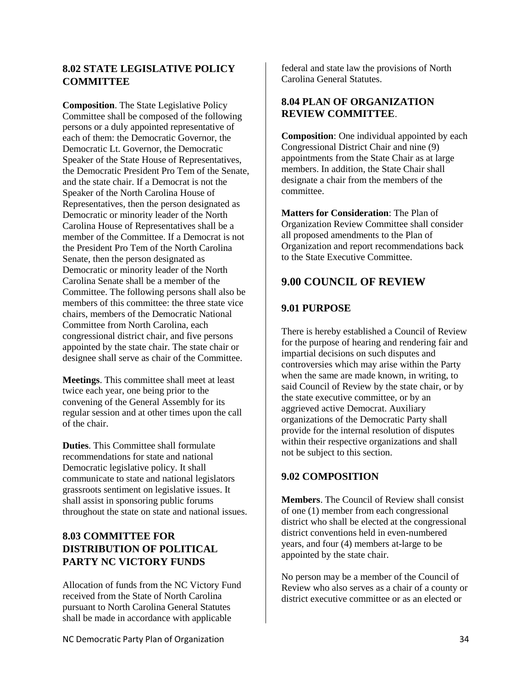#### <span id="page-39-0"></span>**8.02 STATE LEGISLATIVE POLICY COMMITTEE**

**Composition**. The State Legislative Policy Committee shall be composed of the following persons or a duly appointed representative of each of them: the Democratic Governor, the Democratic Lt. Governor, the Democratic Speaker of the State House of Representatives, the Democratic President Pro Tem of the Senate, and the state chair. If a Democrat is not the Speaker of the North Carolina House of Representatives, then the person designated as Democratic or minority leader of the North Carolina House of Representatives shall be a member of the Committee. If a Democrat is not the President Pro Tem of the North Carolina Senate, then the person designated as Democratic or minority leader of the North Carolina Senate shall be a member of the Committee. The following persons shall also be members of this committee: the three state vice chairs, members of the Democratic National Committee from North Carolina, each congressional district chair, and five persons appointed by the state chair. The state chair or designee shall serve as chair of the Committee.

<span id="page-39-1"></span>**Meetings**. This committee shall meet at least twice each year, one being prior to the convening of the General Assembly for its regular session and at other times upon the call of the chair.

**Duties**. This Committee shall formulate recommendations for state and national Democratic legislative policy. It shall communicate to state and national legislators grassroots sentiment on legislative issues. It shall assist in sponsoring public forums throughout the state on state and national issues.

## <span id="page-39-2"></span>**8.03 COMMITTEE FOR DISTRIBUTION OF POLITICAL PARTY NC VICTORY FUNDS**

Allocation of funds from the NC Victory Fund received from the State of North Carolina pursuant to North Carolina General Statutes shall be made in accordance with applicable

federal and state law the provisions of North Carolina General Statutes.

#### <span id="page-39-3"></span>**8.04 PLAN OF ORGANIZATION REVIEW COMMITTEE**.

<span id="page-39-4"></span>**Composition**: One individual appointed by each Congressional District Chair and nine (9) appointments from the State Chair as at large members. In addition, the State Chair shall designate a chair from the members of the committee.

<span id="page-39-5"></span>**Matters for Consideration**: The Plan of Organization Review Committee shall consider all proposed amendments to the Plan of Organization and report recommendations back to the State Executive Committee.

## <span id="page-39-6"></span>**9.00 COUNCIL OF REVIEW**

#### <span id="page-39-7"></span>**9.01 PURPOSE**

There is hereby established a Council of Review for the purpose of hearing and rendering fair and impartial decisions on such disputes and controversies which may arise within the Party when the same are made known, in writing, to said Council of Review by the state chair, or by the state executive committee, or by an aggrieved active Democrat. Auxiliary organizations of the Democratic Party shall provide for the internal resolution of disputes within their respective organizations and shall not be subject to this section.

#### <span id="page-39-8"></span>**9.02 COMPOSITION**

<span id="page-39-9"></span>**Members**. The Council of Review shall consist of one (1) member from each congressional district who shall be elected at the congressional district conventions held in even-numbered years, and four (4) members at-large to be appointed by the state chair.

No person may be a member of the Council of Review who also serves as a chair of a county or district executive committee or as an elected or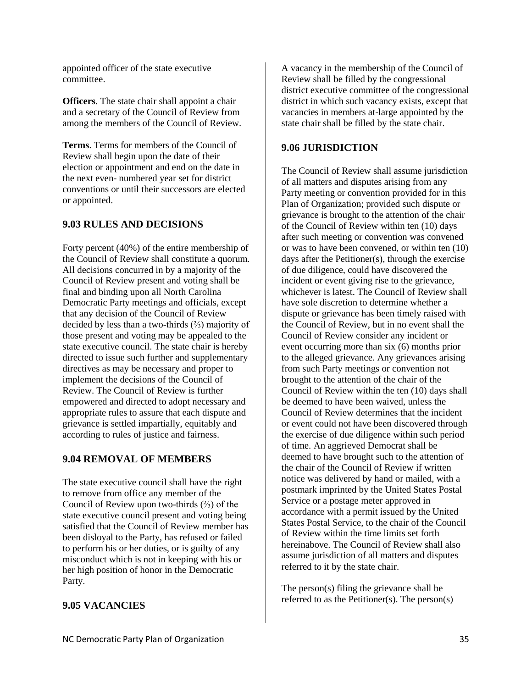appointed officer of the state executive committee.

<span id="page-40-0"></span>**Officers**. The state chair shall appoint a chair and a secretary of the Council of Review from among the members of the Council of Review.

<span id="page-40-1"></span>**Terms**. Terms for members of the Council of Review shall begin upon the date of their election or appointment and end on the date in the next even- numbered year set for district conventions or until their successors are elected or appointed.

#### <span id="page-40-2"></span>**9.03 RULES AND DECISIONS**

Forty percent (40%) of the entire membership of the Council of Review shall constitute a quorum. All decisions concurred in by a majority of the Council of Review present and voting shall be final and binding upon all North Carolina Democratic Party meetings and officials, except that any decision of the Council of Review decided by less than a two-thirds (⅔) majority of those present and voting may be appealed to the state executive council. The state chair is hereby directed to issue such further and supplementary directives as may be necessary and proper to implement the decisions of the Council of Review. The Council of Review is further empowered and directed to adopt necessary and appropriate rules to assure that each dispute and grievance is settled impartially, equitably and according to rules of justice and fairness.

#### <span id="page-40-3"></span>**9.04 REMOVAL OF MEMBERS**

The state executive council shall have the right to remove from office any member of the Council of Review upon two-thirds (⅔) of the state executive council present and voting being satisfied that the Council of Review member has been disloyal to the Party, has refused or failed to perform his or her duties, or is guilty of any misconduct which is not in keeping with his or her high position of honor in the Democratic Party.

<span id="page-40-4"></span>**9.05 VACANCIES**

A vacancy in the membership of the Council of Review shall be filled by the congressional district executive committee of the congressional district in which such vacancy exists, except that vacancies in members at-large appointed by the state chair shall be filled by the state chair.

#### <span id="page-40-5"></span>**9.06 JURISDICTION**

The Council of Review shall assume jurisdiction of all matters and disputes arising from any Party meeting or convention provided for in this Plan of Organization; provided such dispute or grievance is brought to the attention of the chair of the Council of Review within ten (10) days after such meeting or convention was convened or was to have been convened, or within ten (10) days after the Petitioner(s), through the exercise of due diligence, could have discovered the incident or event giving rise to the grievance, whichever is latest. The Council of Review shall have sole discretion to determine whether a dispute or grievance has been timely raised with the Council of Review, but in no event shall the Council of Review consider any incident or event occurring more than six (6) months prior to the alleged grievance. Any grievances arising from such Party meetings or convention not brought to the attention of the chair of the Council of Review within the ten (10) days shall be deemed to have been waived, unless the Council of Review determines that the incident or event could not have been discovered through the exercise of due diligence within such period of time. An aggrieved Democrat shall be deemed to have brought such to the attention of the chair of the Council of Review if written notice was delivered by hand or mailed, with a postmark imprinted by the United States Postal Service or a postage meter approved in accordance with a permit issued by the United States Postal Service, to the chair of the Council of Review within the time limits set forth hereinabove. The Council of Review shall also assume jurisdiction of all matters and disputes referred to it by the state chair.

The person(s) filing the grievance shall be referred to as the Petitioner(s). The person(s)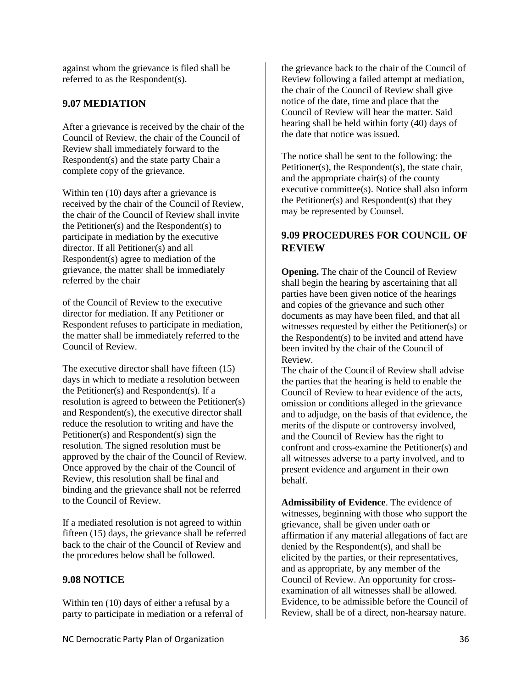against whom the grievance is filed shall be referred to as the Respondent(s).

#### <span id="page-41-0"></span>**9.07 MEDIATION**

After a grievance is received by the chair of the Council of Review, the chair of the Council of Review shall immediately forward to the Respondent(s) and the state party Chair a complete copy of the grievance.

Within ten (10) days after a grievance is received by the chair of the Council of Review, the chair of the Council of Review shall invite the Petitioner(s) and the Respondent(s) to participate in mediation by the executive director. If all Petitioner(s) and all Respondent(s) agree to mediation of the grievance, the matter shall be immediately referred by the chair

of the Council of Review to the executive director for mediation. If any Petitioner or Respondent refuses to participate in mediation, the matter shall be immediately referred to the Council of Review.

The executive director shall have fifteen (15) days in which to mediate a resolution between the Petitioner(s) and Respondent(s). If a resolution is agreed to between the Petitioner(s) and Respondent(s), the executive director shall reduce the resolution to writing and have the Petitioner(s) and Respondent(s) sign the resolution. The signed resolution must be approved by the chair of the Council of Review. Once approved by the chair of the Council of Review, this resolution shall be final and binding and the grievance shall not be referred to the Council of Review.

If a mediated resolution is not agreed to within fifteen (15) days, the grievance shall be referred back to the chair of the Council of Review and the procedures below shall be followed.

#### <span id="page-41-1"></span>**9.08 NOTICE**

Within ten (10) days of either a refusal by a party to participate in mediation or a referral of

the grievance back to the chair of the Council of Review following a failed attempt at mediation, the chair of the Council of Review shall give notice of the date, time and place that the Council of Review will hear the matter. Said hearing shall be held within forty (40) days of the date that notice was issued.

The notice shall be sent to the following: the Petitioner(s), the Respondent(s), the state chair, and the appropriate chair(s) of the county executive committee(s). Notice shall also inform the Petitioner(s) and Respondent(s) that they may be represented by Counsel.

#### <span id="page-41-2"></span>**9.09 PROCEDURES FOR COUNCIL OF REVIEW**

<span id="page-41-3"></span>**Opening.** The chair of the Council of Review shall begin the hearing by ascertaining that all parties have been given notice of the hearings and copies of the grievance and such other documents as may have been filed, and that all witnesses requested by either the Petitioner(s) or the Respondent(s) to be invited and attend have been invited by the chair of the Council of Review.

The chair of the Council of Review shall advise the parties that the hearing is held to enable the Council of Review to hear evidence of the acts, omission or conditions alleged in the grievance and to adjudge, on the basis of that evidence, the merits of the dispute or controversy involved, and the Council of Review has the right to confront and cross-examine the Petitioner(s) and all witnesses adverse to a party involved, and to present evidence and argument in their own behalf.

<span id="page-41-4"></span>**Admissibility of Evidence**. The evidence of witnesses, beginning with those who support the grievance, shall be given under oath or affirmation if any material allegations of fact are denied by the Respondent(s), and shall be elicited by the parties, or their representatives, and as appropriate, by any member of the Council of Review. An opportunity for crossexamination of all witnesses shall be allowed. Evidence, to be admissible before the Council of Review, shall be of a direct, non-hearsay nature.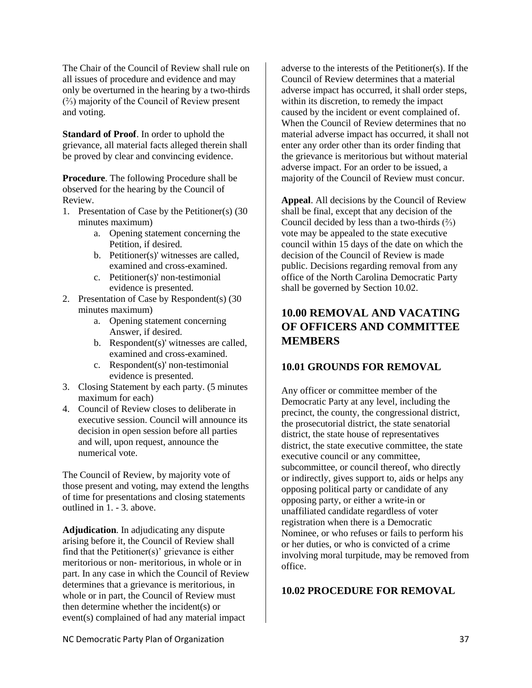The Chair of the Council of Review shall rule on all issues of procedure and evidence and may only be overturned in the hearing by a two-thirds (⅔) majority of the Council of Review present and voting.

<span id="page-42-0"></span>**Standard of Proof**. In order to uphold the grievance, all material facts alleged therein shall be proved by clear and convincing evidence.

<span id="page-42-1"></span>**Procedure**. The following Procedure shall be observed for the hearing by the Council of Review.

- 1. Presentation of Case by the Petitioner(s) (30 minutes maximum)
	- a. Opening statement concerning the Petition, if desired.
	- b. Petitioner(s)' witnesses are called, examined and cross-examined.
	- c. Petitioner(s)' non-testimonial evidence is presented.
- 2. Presentation of Case by Respondent(s) (30 minutes maximum)
	- a. Opening statement concerning Answer, if desired.
	- b. Respondent(s)' witnesses are called, examined and cross-examined.
	- c. Respondent(s)' non-testimonial evidence is presented.
- 3. Closing Statement by each party. (5 minutes maximum for each)
- 4. Council of Review closes to deliberate in executive session. Council will announce its decision in open session before all parties and will, upon request, announce the numerical vote.

The Council of Review, by majority vote of those present and voting, may extend the lengths of time for presentations and closing statements outlined in 1. - 3. above.

<span id="page-42-2"></span>**Adjudication**. In adjudicating any dispute arising before it, the Council of Review shall find that the Petitioner(s)' grievance is either meritorious or non- meritorious, in whole or in part. In any case in which the Council of Review determines that a grievance is meritorious, in whole or in part, the Council of Review must then determine whether the incident(s) or event(s) complained of had any material impact

adverse to the interests of the Petitioner(s). If the Council of Review determines that a material adverse impact has occurred, it shall order steps, within its discretion, to remedy the impact caused by the incident or event complained of. When the Council of Review determines that no material adverse impact has occurred, it shall not enter any order other than its order finding that the grievance is meritorious but without material adverse impact. For an order to be issued, a majority of the Council of Review must concur.

<span id="page-42-3"></span>**Appeal**. All decisions by the Council of Review shall be final, except that any decision of the Council decided by less than a two-thirds (⅔) vote may be appealed to the state executive council within 15 days of the date on which the decision of the Council of Review is made public. Decisions regarding removal from any office of the North Carolina Democratic Party shall be governed by Section 10.02.

## <span id="page-42-4"></span>**10.00 REMOVAL AND VACATING OF OFFICERS AND COMMITTEE MEMBERS**

#### <span id="page-42-5"></span>**10.01 GROUNDS FOR REMOVAL**

Any officer or committee member of the Democratic Party at any level, including the precinct, the county, the congressional district, the prosecutorial district, the state senatorial district, the state house of representatives district, the state executive committee, the state executive council or any committee, subcommittee, or council thereof, who directly or indirectly, gives support to, aids or helps any opposing political party or candidate of any opposing party, or either a write-in or unaffiliated candidate regardless of voter registration when there is a Democratic Nominee, or who refuses or fails to perform his or her duties, or who is convicted of a crime involving moral turpitude, may be removed from office.

#### <span id="page-42-6"></span>**10.02 PROCEDURE FOR REMOVAL**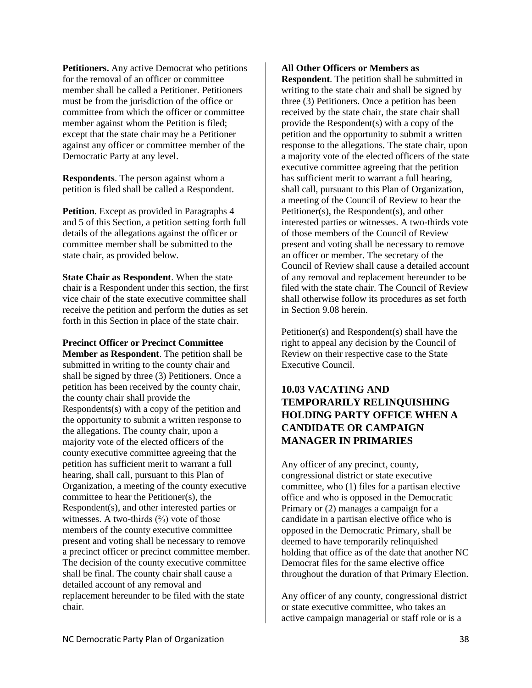<span id="page-43-0"></span>**Petitioners.** Any active Democrat who petitions for the removal of an officer or committee member shall be called a Petitioner. Petitioners must be from the jurisdiction of the office or committee from which the officer or committee member against whom the Petition is filed; except that the state chair may be a Petitioner against any officer or committee member of the Democratic Party at any level.

<span id="page-43-1"></span>**Respondents**. The person against whom a petition is filed shall be called a Respondent.

<span id="page-43-2"></span>**Petition**. Except as provided in Paragraphs 4 and 5 of this Section, a petition setting forth full details of the allegations against the officer or committee member shall be submitted to the state chair, as provided below.

<span id="page-43-3"></span>**State Chair as Respondent**. When the state chair is a Respondent under this section, the first vice chair of the state executive committee shall receive the petition and perform the duties as set forth in this Section in place of the state chair.

#### <span id="page-43-4"></span>**Precinct Officer or Precinct Committee**

**Member as Respondent**. The petition shall be submitted in writing to the county chair and shall be signed by three (3) Petitioners. Once a petition has been received by the county chair, the county chair shall provide the Respondents(s) with a copy of the petition and the opportunity to submit a written response to the allegations. The county chair, upon a majority vote of the elected officers of the county executive committee agreeing that the petition has sufficient merit to warrant a full hearing, shall call, pursuant to this Plan of Organization, a meeting of the county executive committee to hear the Petitioner(s), the Respondent(s), and other interested parties or witnesses. A two-thirds  $(\frac{2}{3})$  vote of those members of the county executive committee present and voting shall be necessary to remove a precinct officer or precinct committee member. The decision of the county executive committee shall be final. The county chair shall cause a detailed account of any removal and replacement hereunder to be filed with the state chair.

#### <span id="page-43-5"></span>**All Other Officers or Members as**

**Respondent**. The petition shall be submitted in writing to the state chair and shall be signed by three (3) Petitioners. Once a petition has been received by the state chair, the state chair shall provide the Respondent(s) with a copy of the petition and the opportunity to submit a written response to the allegations. The state chair, upon a majority vote of the elected officers of the state executive committee agreeing that the petition has sufficient merit to warrant a full hearing, shall call, pursuant to this Plan of Organization, a meeting of the Council of Review to hear the Petitioner(s), the Respondent(s), and other interested parties or witnesses. A two-thirds vote of those members of the Council of Review present and voting shall be necessary to remove an officer or member. The secretary of the Council of Review shall cause a detailed account of any removal and replacement hereunder to be filed with the state chair. The Council of Review shall otherwise follow its procedures as set forth in Section 9.08 herein.

Petitioner(s) and Respondent(s) shall have the right to appeal any decision by the Council of Review on their respective case to the State Executive Council.

#### <span id="page-43-6"></span>**10.03 VACATING AND TEMPORARILY RELINQUISHING HOLDING PARTY OFFICE WHEN A CANDIDATE OR CAMPAIGN MANAGER IN PRIMARIES**

Any officer of any precinct, county, congressional district or state executive committee, who (1) files for a partisan elective office and who is opposed in the Democratic Primary or (2) manages a campaign for a candidate in a partisan elective office who is opposed in the Democratic Primary, shall be deemed to have temporarily relinquished holding that office as of the date that another NC Democrat files for the same elective office throughout the duration of that Primary Election.

Any officer of any county, congressional district or state executive committee, who takes an active campaign managerial or staff role or is a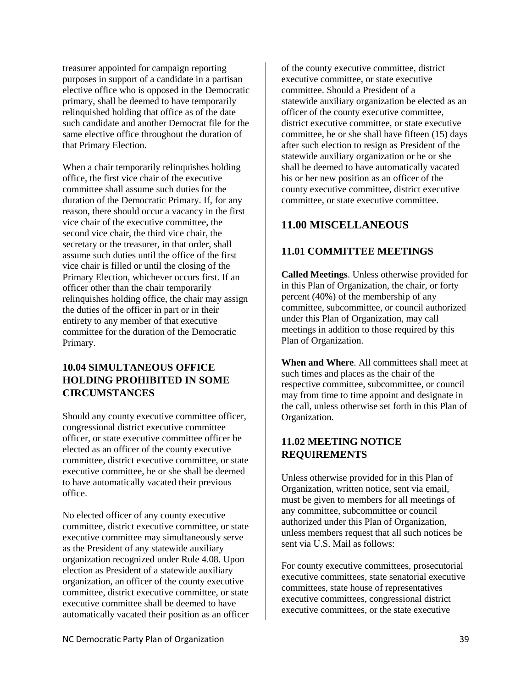treasurer appointed for campaign reporting purposes in support of a candidate in a partisan elective office who is opposed in the Democratic primary, shall be deemed to have temporarily relinquished holding that office as of the date such candidate and another Democrat file for the same elective office throughout the duration of that Primary Election.

When a chair temporarily relinquishes holding office, the first vice chair of the executive committee shall assume such duties for the duration of the Democratic Primary. If, for any reason, there should occur a vacancy in the first vice chair of the executive committee, the second vice chair, the third vice chair, the secretary or the treasurer, in that order, shall assume such duties until the office of the first vice chair is filled or until the closing of the Primary Election, whichever occurs first. If an officer other than the chair temporarily relinquishes holding office, the chair may assign the duties of the officer in part or in their entirety to any member of that executive committee for the duration of the Democratic Primary.

## <span id="page-44-0"></span>**10.04 SIMULTANEOUS OFFICE HOLDING PROHIBITED IN SOME CIRCUMSTANCES**

Should any county executive committee officer, congressional district executive committee officer, or state executive committee officer be elected as an officer of the county executive committee, district executive committee, or state executive committee, he or she shall be deemed to have automatically vacated their previous office.

No elected officer of any county executive committee, district executive committee, or state executive committee may simultaneously serve as the President of any statewide auxiliary organization recognized under Rule 4.08. Upon election as President of a statewide auxiliary organization, an officer of the county executive committee, district executive committee, or state executive committee shall be deemed to have automatically vacated their position as an officer of the county executive committee, district executive committee, or state executive committee. Should a President of a statewide auxiliary organization be elected as an officer of the county executive committee, district executive committee, or state executive committee, he or she shall have fifteen (15) days after such election to resign as President of the statewide auxiliary organization or he or she shall be deemed to have automatically vacated his or her new position as an officer of the county executive committee, district executive committee, or state executive committee.

## <span id="page-44-1"></span>**11.00 MISCELLANEOUS**

## <span id="page-44-2"></span>**11.01 COMMITTEE MEETINGS**

<span id="page-44-3"></span>**Called Meetings**. Unless otherwise provided for in this Plan of Organization, the chair, or forty percent (40%) of the membership of any committee, subcommittee, or council authorized under this Plan of Organization, may call meetings in addition to those required by this Plan of Organization.

<span id="page-44-4"></span>**When and Where**. All committees shall meet at such times and places as the chair of the respective committee, subcommittee, or council may from time to time appoint and designate in the call, unless otherwise set forth in this Plan of Organization.

## <span id="page-44-5"></span>**11.02 MEETING NOTICE REQUIREMENTS**

Unless otherwise provided for in this Plan of Organization, written notice, sent via email, must be given to members for all meetings of any committee, subcommittee or council authorized under this Plan of Organization, unless members request that all such notices be sent via U.S. Mail as follows:

For county executive committees, prosecutorial executive committees, state senatorial executive committees, state house of representatives executive committees, congressional district executive committees, or the state executive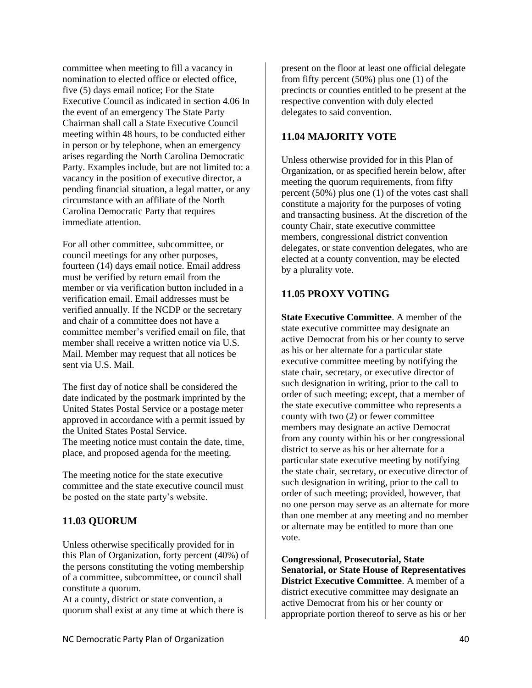committee when meeting to fill a vacancy in nomination to elected office or elected office, five (5) days email notice; For the State Executive Council as indicated in section 4.06 In the event of an emergency The State Party Chairman shall call a State Executive Council meeting within 48 hours, to be conducted either in person or by telephone, when an emergency arises regarding the North Carolina Democratic Party. Examples include, but are not limited to: a vacancy in the position of executive director, a pending financial situation, a legal matter, or any circumstance with an affiliate of the North Carolina Democratic Party that requires immediate attention.

For all other committee, subcommittee, or council meetings for any other purposes, fourteen (14) days email notice. Email address must be verified by return email from the member or via verification button included in a verification email. Email addresses must be verified annually. If the NCDP or the secretary and chair of a committee does not have a committee member's verified email on file, that member shall receive a written notice via U.S. Mail. Member may request that all notices be sent via U.S. Mail.

The first day of notice shall be considered the date indicated by the postmark imprinted by the United States Postal Service or a postage meter approved in accordance with a permit issued by the United States Postal Service. The meeting notice must contain the date, time, place, and proposed agenda for the meeting.

The meeting notice for the state executive committee and the state executive council must be posted on the state party's website.

#### <span id="page-45-0"></span>**11.03 QUORUM**

Unless otherwise specifically provided for in this Plan of Organization, forty percent (40%) of the persons constituting the voting membership of a committee, subcommittee, or council shall constitute a quorum.

At a county, district or state convention, a quorum shall exist at any time at which there is present on the floor at least one official delegate from fifty percent (50%) plus one (1) of the precincts or counties entitled to be present at the respective convention with duly elected delegates to said convention.

#### <span id="page-45-1"></span>**11.04 MAJORITY VOTE**

Unless otherwise provided for in this Plan of Organization, or as specified herein below, after meeting the quorum requirements, from fifty percent (50%) plus one (1) of the votes cast shall constitute a majority for the purposes of voting and transacting business. At the discretion of the county Chair, state executive committee members, congressional district convention delegates, or state convention delegates, who are elected at a county convention, may be elected by a plurality vote.

#### <span id="page-45-2"></span>**11.05 PROXY VOTING**

<span id="page-45-3"></span>**State Executive Committee**. A member of the state executive committee may designate an active Democrat from his or her county to serve as his or her alternate for a particular state executive committee meeting by notifying the state chair, secretary, or executive director of such designation in writing, prior to the call to order of such meeting; except, that a member of the state executive committee who represents a county with two (2) or fewer committee members may designate an active Democrat from any county within his or her congressional district to serve as his or her alternate for a particular state executive meeting by notifying the state chair, secretary, or executive director of such designation in writing, prior to the call to order of such meeting; provided, however, that no one person may serve as an alternate for more than one member at any meeting and no member or alternate may be entitled to more than one vote.

<span id="page-45-4"></span>**Congressional, Prosecutorial, State Senatorial, or State House of Representatives District Executive Committee**. A member of a district executive committee may designate an active Democrat from his or her county or appropriate portion thereof to serve as his or her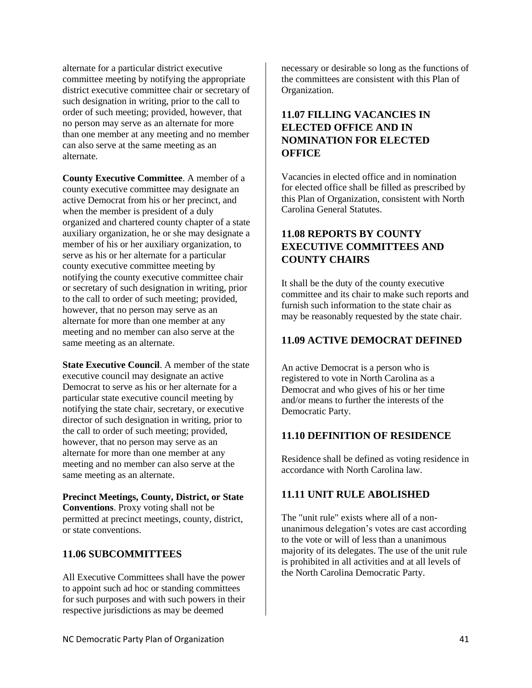alternate for a particular district executive committee meeting by notifying the appropriate district executive committee chair or secretary of such designation in writing, prior to the call to order of such meeting; provided, however, that no person may serve as an alternate for more than one member at any meeting and no member can also serve at the same meeting as an alternate.

<span id="page-46-0"></span>**County Executive Committee**. A member of a county executive committee may designate an active Democrat from his or her precinct, and when the member is president of a duly organized and chartered county chapter of a state auxiliary organization, he or she may designate a member of his or her auxiliary organization, to serve as his or her alternate for a particular county executive committee meeting by notifying the county executive committee chair or secretary of such designation in writing, prior to the call to order of such meeting; provided, however, that no person may serve as an alternate for more than one member at any meeting and no member can also serve at the same meeting as an alternate.

<span id="page-46-1"></span>**State Executive Council**. A member of the state executive council may designate an active Democrat to serve as his or her alternate for a particular state executive council meeting by notifying the state chair, secretary, or executive director of such designation in writing, prior to the call to order of such meeting; provided, however, that no person may serve as an alternate for more than one member at any meeting and no member can also serve at the same meeting as an alternate.

<span id="page-46-2"></span>**Precinct Meetings, County, District, or State Conventions**. Proxy voting shall not be permitted at precinct meetings, county, district, or state conventions.

#### <span id="page-46-3"></span>**11.06 SUBCOMMITTEES**

All Executive Committees shall have the power to appoint such ad hoc or standing committees for such purposes and with such powers in their respective jurisdictions as may be deemed

necessary or desirable so long as the functions of the committees are consistent with this Plan of Organization.

## <span id="page-46-4"></span>**11.07 FILLING VACANCIES IN ELECTED OFFICE AND IN NOMINATION FOR ELECTED OFFICE**

Vacancies in elected office and in nomination for elected office shall be filled as prescribed by this Plan of Organization, consistent with North Carolina General Statutes.

## <span id="page-46-5"></span>**11.08 REPORTS BY COUNTY EXECUTIVE COMMITTEES AND COUNTY CHAIRS**

It shall be the duty of the county executive committee and its chair to make such reports and furnish such information to the state chair as may be reasonably requested by the state chair.

#### <span id="page-46-6"></span>**11.09 ACTIVE DEMOCRAT DEFINED**

An active Democrat is a person who is registered to vote in North Carolina as a Democrat and who gives of his or her time and/or means to further the interests of the Democratic Party.

#### <span id="page-46-7"></span>**11.10 DEFINITION OF RESIDENCE**

Residence shall be defined as voting residence in accordance with North Carolina law.

#### <span id="page-46-8"></span>**11.11 UNIT RULE ABOLISHED**

The "unit rule" exists where all of a nonunanimous delegation's votes are cast according to the vote or will of less than a unanimous majority of its delegates. The use of the unit rule is prohibited in all activities and at all levels of the North Carolina Democratic Party.